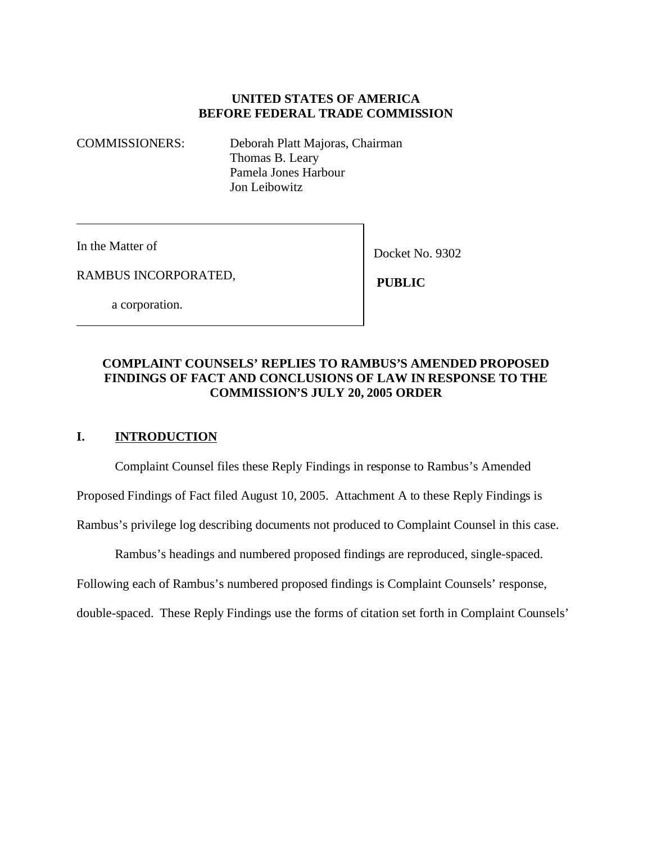# **UNITED STATES OF AMERICA BEFORE FEDERAL TRADE COMMISSION**

COMMISSIONERS: Deborah Platt Majoras, Chairman Thomas B. Leary Pamela Jones Harbour Jon Leibowitz

In the Matter of

Docket No. 9302

RAMBUS INCORPORATED,

 **PUBLIC**

a corporation.

# **COMPLAINT COUNSELS' REPLIES TO RAMBUS'S AMENDED PROPOSED FINDINGS OF FACT AND CONCLUSIONS OF LAW IN RESPONSE TO THE COMMISSION'S JULY 20, 2005 ORDER**

# **I. INTRODUCTION**

Complaint Counsel files these Reply Findings in response to Rambus's Amended

Proposed Findings of Fact filed August 10, 2005. Attachment A to these Reply Findings is

Rambus's privilege log describing documents not produced to Complaint Counsel in this case.

Rambus's headings and numbered proposed findings are reproduced, single-spaced.

Following each of Rambus's numbered proposed findings is Complaint Counsels' response,

double-spaced. These Reply Findings use the forms of citation set forth in Complaint Counsels'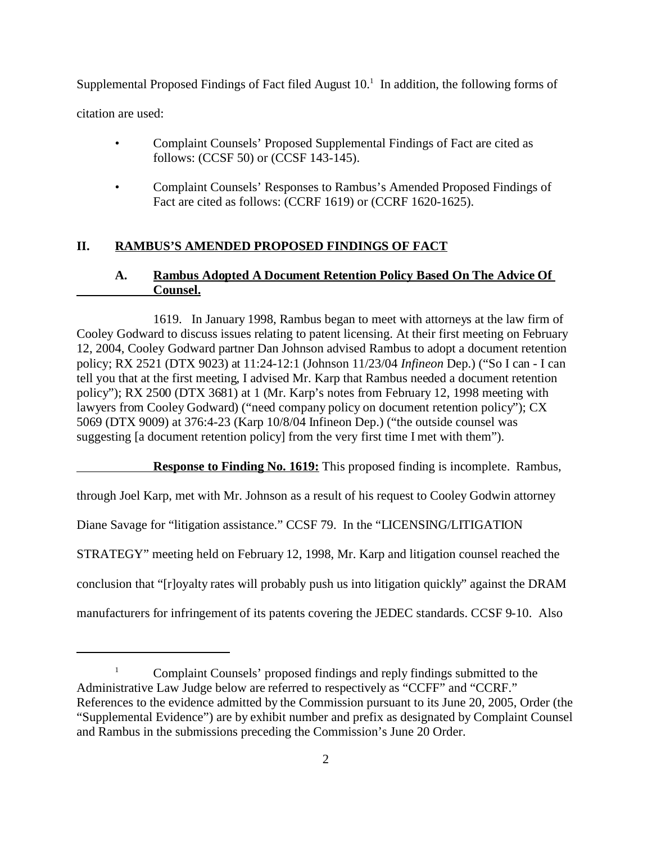Supplemental Proposed Findings of Fact filed August  $10<sup>1</sup>$  In addition, the following forms of citation are used:

- Complaint Counsels' Proposed Supplemental Findings of Fact are cited as follows: (CCSF 50) or (CCSF 143-145).
- Complaint Counsels' Responses to Rambus's Amended Proposed Findings of Fact are cited as follows: (CCRF 1619) or (CCRF 1620-1625).

# **II. RAMBUS'S AMENDED PROPOSED FINDINGS OF FACT**

# **A. Rambus Adopted A Document Retention Policy Based On The Advice Of Counsel.**

1619. In January 1998, Rambus began to meet with attorneys at the law firm of Cooley Godward to discuss issues relating to patent licensing. At their first meeting on February 12, 2004, Cooley Godward partner Dan Johnson advised Rambus to adopt a document retention policy; RX 2521 (DTX 9023) at 11:24-12:1 (Johnson 11/23/04 *Infineon* Dep.) ("So I can - I can tell you that at the first meeting, I advised Mr. Karp that Rambus needed a document retention policy"); RX 2500 (DTX 3681) at 1 (Mr. Karp's notes from February 12, 1998 meeting with lawyers from Cooley Godward) ("need company policy on document retention policy"); CX 5069 (DTX 9009) at 376:4-23 (Karp 10/8/04 Infineon Dep.) ("the outside counsel was suggesting [a document retention policy] from the very first time I met with them").

**Response to Finding No. 1619:** This proposed finding is incomplete. Rambus,

through Joel Karp, met with Mr. Johnson as a result of his request to Cooley Godwin attorney

Diane Savage for "litigation assistance." CCSF 79. In the "LICENSING/LITIGATION

STRATEGY" meeting held on February 12, 1998, Mr. Karp and litigation counsel reached the

conclusion that "[r]oyalty rates will probably push us into litigation quickly" against the DRAM

manufacturers for infringement of its patents covering the JEDEC standards. CCSF 9-10. Also

<sup>&</sup>lt;sup>1</sup> Complaint Counsels' proposed findings and reply findings submitted to the Administrative Law Judge below are referred to respectively as "CCFF" and "CCRF." References to the evidence admitted by the Commission pursuant to its June 20, 2005, Order (the "Supplemental Evidence") are by exhibit number and prefix as designated by Complaint Counsel and Rambus in the submissions preceding the Commission's June 20 Order.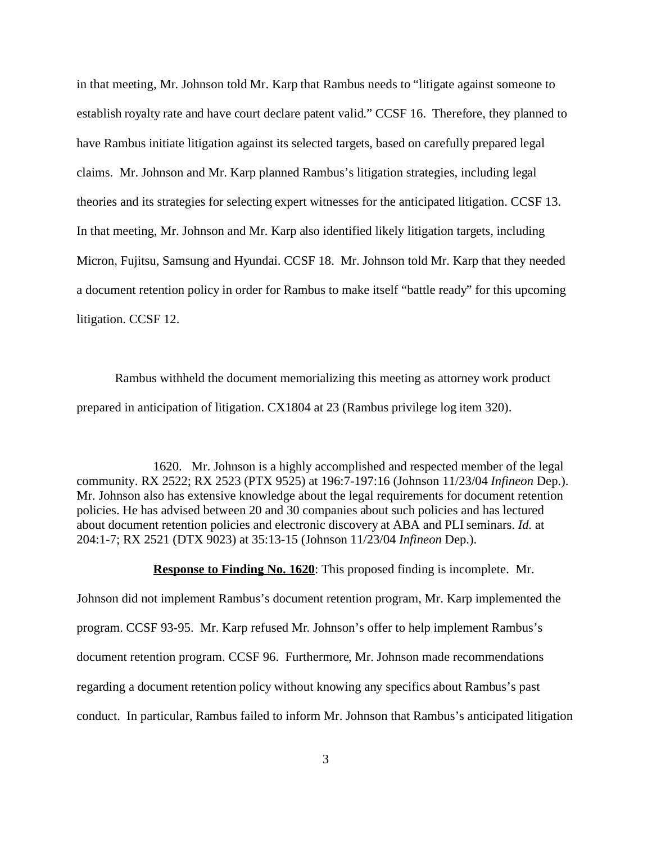in that meeting, Mr. Johnson told Mr. Karp that Rambus needs to "litigate against someone to establish royalty rate and have court declare patent valid." CCSF 16. Therefore, they planned to have Rambus initiate litigation against its selected targets, based on carefully prepared legal claims. Mr. Johnson and Mr. Karp planned Rambus's litigation strategies, including legal theories and its strategies for selecting expert witnesses for the anticipated litigation. CCSF 13. In that meeting, Mr. Johnson and Mr. Karp also identified likely litigation targets, including Micron, Fujitsu, Samsung and Hyundai. CCSF 18. Mr. Johnson told Mr. Karp that they needed a document retention policy in order for Rambus to make itself "battle ready" for this upcoming litigation. CCSF 12.

Rambus withheld the document memorializing this meeting as attorney work product prepared in anticipation of litigation. CX1804 at 23 (Rambus privilege log item 320).

1620. Mr. Johnson is a highly accomplished and respected member of the legal community. RX 2522; RX 2523 (PTX 9525) at 196:7-197:16 (Johnson 11/23/04 *Infineon* Dep.). Mr. Johnson also has extensive knowledge about the legal requirements for document retention policies. He has advised between 20 and 30 companies about such policies and has lectured about document retention policies and electronic discovery at ABA and PLI seminars. *Id.* at 204:1-7; RX 2521 (DTX 9023) at 35:13-15 (Johnson 11/23/04 *Infineon* Dep.).

#### **Response to Finding No. 1620**: This proposed finding is incomplete. Mr.

Johnson did not implement Rambus's document retention program, Mr. Karp implemented the program. CCSF 93-95. Mr. Karp refused Mr. Johnson's offer to help implement Rambus's document retention program. CCSF 96. Furthermore, Mr. Johnson made recommendations regarding a document retention policy without knowing any specifics about Rambus's past conduct. In particular, Rambus failed to inform Mr. Johnson that Rambus's anticipated litigation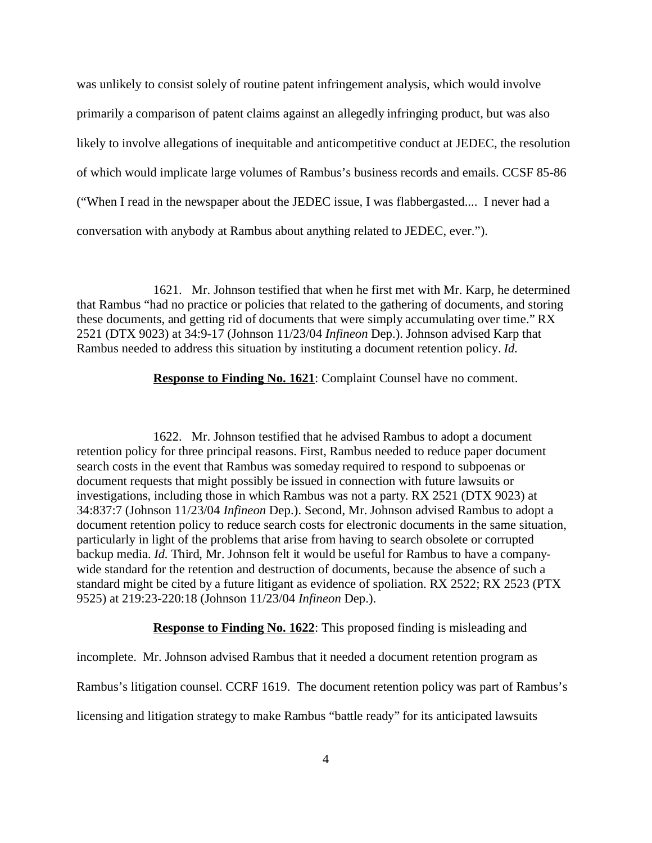was unlikely to consist solely of routine patent infringement analysis, which would involve primarily a comparison of patent claims against an allegedly infringing product, but was also likely to involve allegations of inequitable and anticompetitive conduct at JEDEC, the resolution of which would implicate large volumes of Rambus's business records and emails. CCSF 85-86 ("When I read in the newspaper about the JEDEC issue, I was flabbergasted.... I never had a conversation with anybody at Rambus about anything related to JEDEC, ever.").

1621. Mr. Johnson testified that when he first met with Mr. Karp, he determined that Rambus "had no practice or policies that related to the gathering of documents, and storing these documents, and getting rid of documents that were simply accumulating over time." RX 2521 (DTX 9023) at 34:9-17 (Johnson 11/23/04 *Infineon* Dep.). Johnson advised Karp that Rambus needed to address this situation by instituting a document retention policy. *Id.*

**Response to Finding No. 1621**: Complaint Counsel have no comment.

1622. Mr. Johnson testified that he advised Rambus to adopt a document retention policy for three principal reasons. First, Rambus needed to reduce paper document search costs in the event that Rambus was someday required to respond to subpoenas or document requests that might possibly be issued in connection with future lawsuits or investigations, including those in which Rambus was not a party. RX 2521 (DTX 9023) at 34:837:7 (Johnson 11/23/04 *Infineon* Dep.). Second, Mr. Johnson advised Rambus to adopt a document retention policy to reduce search costs for electronic documents in the same situation, particularly in light of the problems that arise from having to search obsolete or corrupted backup media. *Id.* Third, Mr. Johnson felt it would be useful for Rambus to have a companywide standard for the retention and destruction of documents, because the absence of such a standard might be cited by a future litigant as evidence of spoliation. RX 2522; RX 2523 (PTX 9525) at 219:23-220:18 (Johnson 11/23/04 *Infineon* Dep.).

**Response to Finding No. 1622:** This proposed finding is misleading and

incomplete. Mr. Johnson advised Rambus that it needed a document retention program as Rambus's litigation counsel. CCRF 1619. The document retention policy was part of Rambus's licensing and litigation strategy to make Rambus "battle ready" for its anticipated lawsuits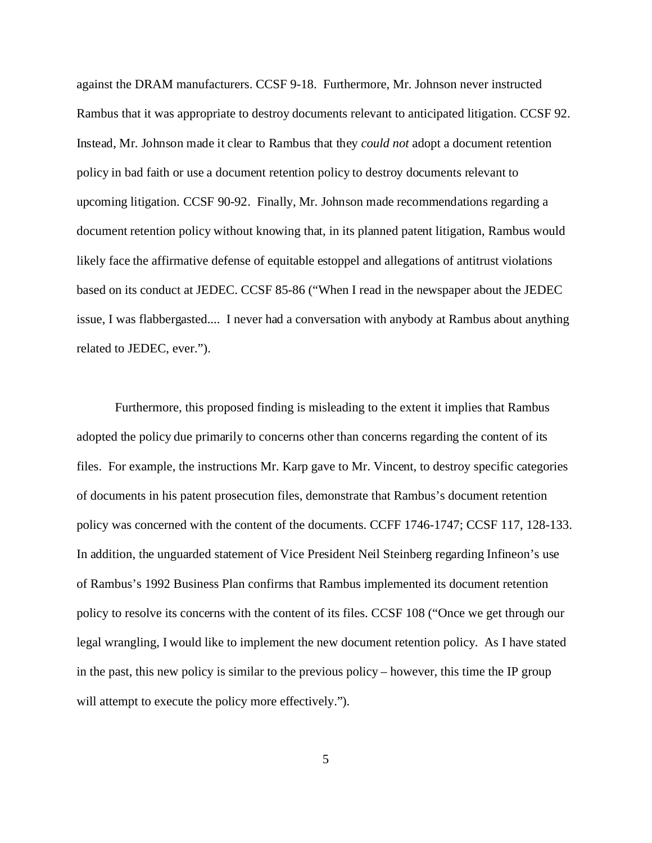against the DRAM manufacturers. CCSF 9-18. Furthermore, Mr. Johnson never instructed Rambus that it was appropriate to destroy documents relevant to anticipated litigation. CCSF 92. Instead, Mr. Johnson made it clear to Rambus that they *could not* adopt a document retention policy in bad faith or use a document retention policy to destroy documents relevant to upcoming litigation. CCSF 90-92. Finally, Mr. Johnson made recommendations regarding a document retention policy without knowing that, in its planned patent litigation, Rambus would likely face the affirmative defense of equitable estoppel and allegations of antitrust violations based on its conduct at JEDEC. CCSF 85-86 ("When I read in the newspaper about the JEDEC issue, I was flabbergasted.... I never had a conversation with anybody at Rambus about anything related to JEDEC, ever.").

Furthermore, this proposed finding is misleading to the extent it implies that Rambus adopted the policy due primarily to concerns other than concerns regarding the content of its files. For example, the instructions Mr. Karp gave to Mr. Vincent, to destroy specific categories of documents in his patent prosecution files, demonstrate that Rambus's document retention policy was concerned with the content of the documents. CCFF 1746-1747; CCSF 117, 128-133. In addition, the unguarded statement of Vice President Neil Steinberg regarding Infineon's use of Rambus's 1992 Business Plan confirms that Rambus implemented its document retention policy to resolve its concerns with the content of its files. CCSF 108 ("Once we get through our legal wrangling, I would like to implement the new document retention policy. As I have stated in the past, this new policy is similar to the previous policy – however, this time the IP group will attempt to execute the policy more effectively.").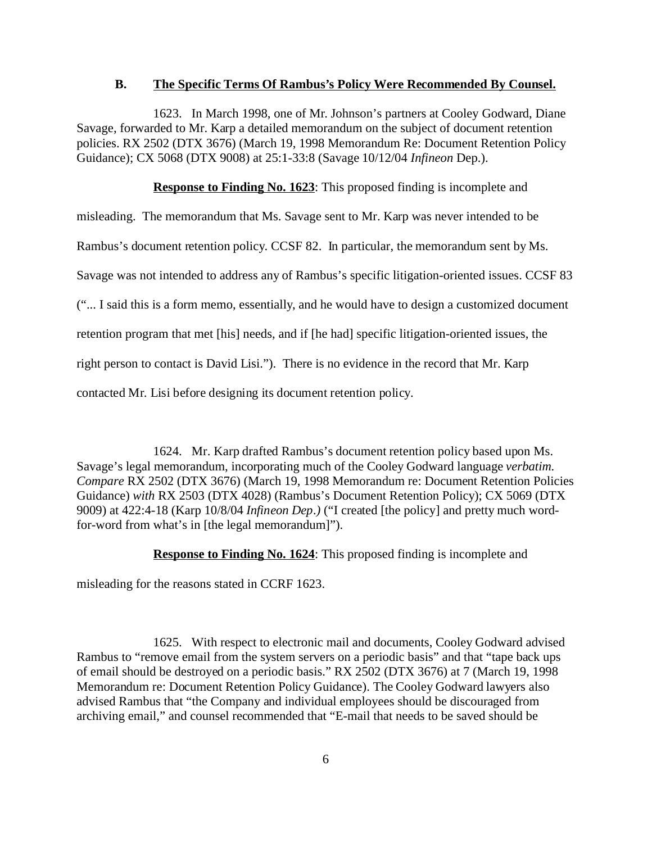#### **B. The Specific Terms Of Rambus's Policy Were Recommended By Counsel.**

1623. In March 1998, one of Mr. Johnson's partners at Cooley Godward, Diane Savage, forwarded to Mr. Karp a detailed memorandum on the subject of document retention policies. RX 2502 (DTX 3676) (March 19, 1998 Memorandum Re: Document Retention Policy Guidance); CX 5068 (DTX 9008) at 25:1-33:8 (Savage 10/12/04 *Infineon* Dep.).

**Response to Finding No. 1623:** This proposed finding is incomplete and

misleading. The memorandum that Ms. Savage sent to Mr. Karp was never intended to be

Rambus's document retention policy. CCSF 82. In particular, the memorandum sent by Ms.

Savage was not intended to address any of Rambus's specific litigation-oriented issues. CCSF 83

("... I said this is a form memo, essentially, and he would have to design a customized document

retention program that met [his] needs, and if [he had] specific litigation-oriented issues, the

right person to contact is David Lisi."). There is no evidence in the record that Mr. Karp

contacted Mr. Lisi before designing its document retention policy.

1624. Mr. Karp drafted Rambus's document retention policy based upon Ms. Savage's legal memorandum, incorporating much of the Cooley Godward language *verbatim. Compare* RX 2502 (DTX 3676) (March 19, 1998 Memorandum re: Document Retention Policies Guidance) *with* RX 2503 (DTX 4028) (Rambus's Document Retention Policy); CX 5069 (DTX 9009) at 422:4-18 (Karp 10/8/04 *Infineon Dep.)* ("I created [the policy] and pretty much wordfor-word from what's in [the legal memorandum]").

**Response to Finding No. 1624:** This proposed finding is incomplete and

misleading for the reasons stated in CCRF 1623.

1625. With respect to electronic mail and documents, Cooley Godward advised Rambus to "remove email from the system servers on a periodic basis" and that "tape back ups of email should be destroyed on a periodic basis." RX 2502 (DTX 3676) at 7 (March 19, 1998 Memorandum re: Document Retention Policy Guidance). The Cooley Godward lawyers also advised Rambus that "the Company and individual employees should be discouraged from archiving email," and counsel recommended that "E-mail that needs to be saved should be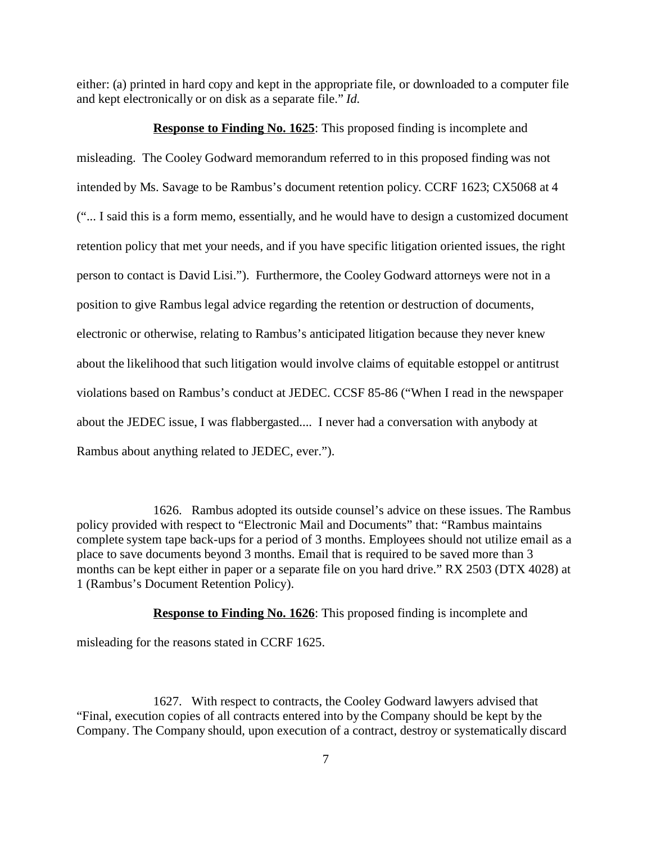either: (a) printed in hard copy and kept in the appropriate file, or downloaded to a computer file and kept electronically or on disk as a separate file." *Id.*

**Response to Finding No. 1625**: This proposed finding is incomplete and misleading. The Cooley Godward memorandum referred to in this proposed finding was not intended by Ms. Savage to be Rambus's document retention policy. CCRF 1623; CX5068 at 4 ("... I said this is a form memo, essentially, and he would have to design a customized document retention policy that met your needs, and if you have specific litigation oriented issues, the right person to contact is David Lisi."). Furthermore, the Cooley Godward attorneys were not in a position to give Rambus legal advice regarding the retention or destruction of documents, electronic or otherwise, relating to Rambus's anticipated litigation because they never knew about the likelihood that such litigation would involve claims of equitable estoppel or antitrust violations based on Rambus's conduct at JEDEC. CCSF 85-86 ("When I read in the newspaper about the JEDEC issue, I was flabbergasted.... I never had a conversation with anybody at Rambus about anything related to JEDEC, ever.").

1626. Rambus adopted its outside counsel's advice on these issues. The Rambus policy provided with respect to "Electronic Mail and Documents" that: "Rambus maintains complete system tape back-ups for a period of 3 months. Employees should not utilize email as a place to save documents beyond 3 months. Email that is required to be saved more than 3 months can be kept either in paper or a separate file on you hard drive." RX 2503 (DTX 4028) at 1 (Rambus's Document Retention Policy).

**Response to Finding No. 1626**: This proposed finding is incomplete and

misleading for the reasons stated in CCRF 1625.

1627. With respect to contracts, the Cooley Godward lawyers advised that "Final, execution copies of all contracts entered into by the Company should be kept by the Company. The Company should, upon execution of a contract, destroy or systematically discard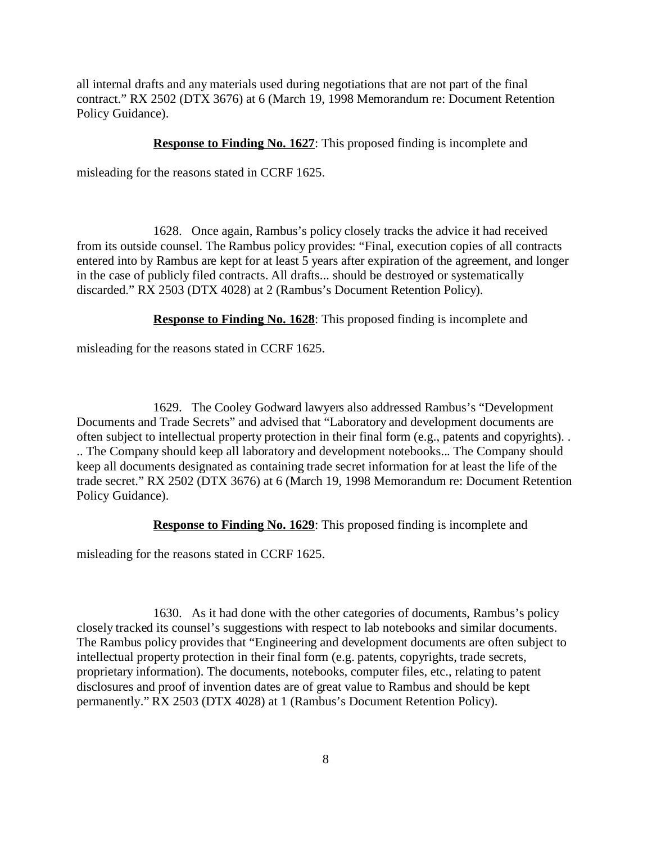all internal drafts and any materials used during negotiations that are not part of the final contract." RX 2502 (DTX 3676) at 6 (March 19, 1998 Memorandum re: Document Retention Policy Guidance).

### **Response to Finding No. 1627**: This proposed finding is incomplete and

misleading for the reasons stated in CCRF 1625.

1628. Once again, Rambus's policy closely tracks the advice it had received from its outside counsel. The Rambus policy provides: "Final, execution copies of all contracts entered into by Rambus are kept for at least 5 years after expiration of the agreement, and longer in the case of publicly filed contracts. All drafts... should be destroyed or systematically discarded." RX 2503 (DTX 4028) at 2 (Rambus's Document Retention Policy).

**Response to Finding No. 1628**: This proposed finding is incomplete and

misleading for the reasons stated in CCRF 1625.

1629. The Cooley Godward lawyers also addressed Rambus's "Development Documents and Trade Secrets" and advised that "Laboratory and development documents are often subject to intellectual property protection in their final form (e.g., patents and copyrights). . .. The Company should keep all laboratory and development notebooks... The Company should keep all documents designated as containing trade secret information for at least the life of the trade secret." RX 2502 (DTX 3676) at 6 (March 19, 1998 Memorandum re: Document Retention Policy Guidance).

**Response to Finding No. 1629**: This proposed finding is incomplete and

misleading for the reasons stated in CCRF 1625.

1630. As it had done with the other categories of documents, Rambus's policy closely tracked its counsel's suggestions with respect to lab notebooks and similar documents. The Rambus policy provides that "Engineering and development documents are often subject to intellectual property protection in their final form (e.g. patents, copyrights, trade secrets, proprietary information). The documents, notebooks, computer files, etc., relating to patent disclosures and proof of invention dates are of great value to Rambus and should be kept permanently." RX 2503 (DTX 4028) at 1 (Rambus's Document Retention Policy).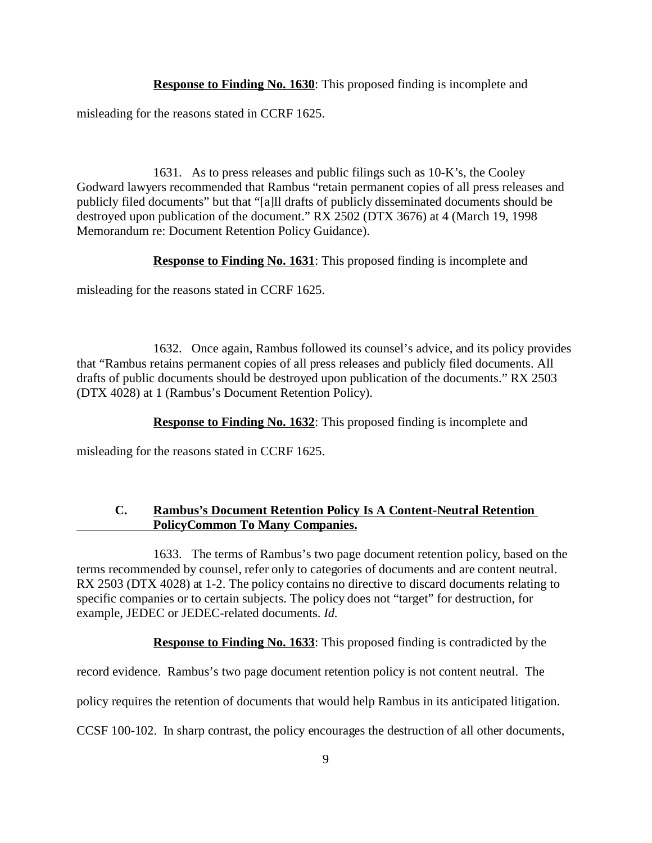**Response to Finding No. 1630**: This proposed finding is incomplete and

misleading for the reasons stated in CCRF 1625.

1631. As to press releases and public filings such as 10-K's, the Cooley Godward lawyers recommended that Rambus "retain permanent copies of all press releases and publicly filed documents" but that "[a]ll drafts of publicly disseminated documents should be destroyed upon publication of the document." RX 2502 (DTX 3676) at 4 (March 19, 1998 Memorandum re: Document Retention Policy Guidance).

**Response to Finding No. 1631**: This proposed finding is incomplete and

misleading for the reasons stated in CCRF 1625.

1632. Once again, Rambus followed its counsel's advice, and its policy provides that "Rambus retains permanent copies of all press releases and publicly filed documents. All drafts of public documents should be destroyed upon publication of the documents." RX 2503 (DTX 4028) at 1 (Rambus's Document Retention Policy).

**Response to Finding No. 1632**: This proposed finding is incomplete and

misleading for the reasons stated in CCRF 1625.

## **C. Rambus's Document Retention Policy Is A Content-Neutral Retention PolicyCommon To Many Companies.**

1633. The terms of Rambus's two page document retention policy, based on the terms recommended by counsel, refer only to categories of documents and are content neutral. RX 2503 (DTX 4028) at 1-2. The policy contains no directive to discard documents relating to specific companies or to certain subjects. The policy does not "target" for destruction, for example, JEDEC or JEDEC-related documents. *Id.*

**Response to Finding No. 1633:** This proposed finding is contradicted by the

record evidence. Rambus's two page document retention policy is not content neutral. The

policy requires the retention of documents that would help Rambus in its anticipated litigation.

CCSF 100-102. In sharp contrast, the policy encourages the destruction of all other documents,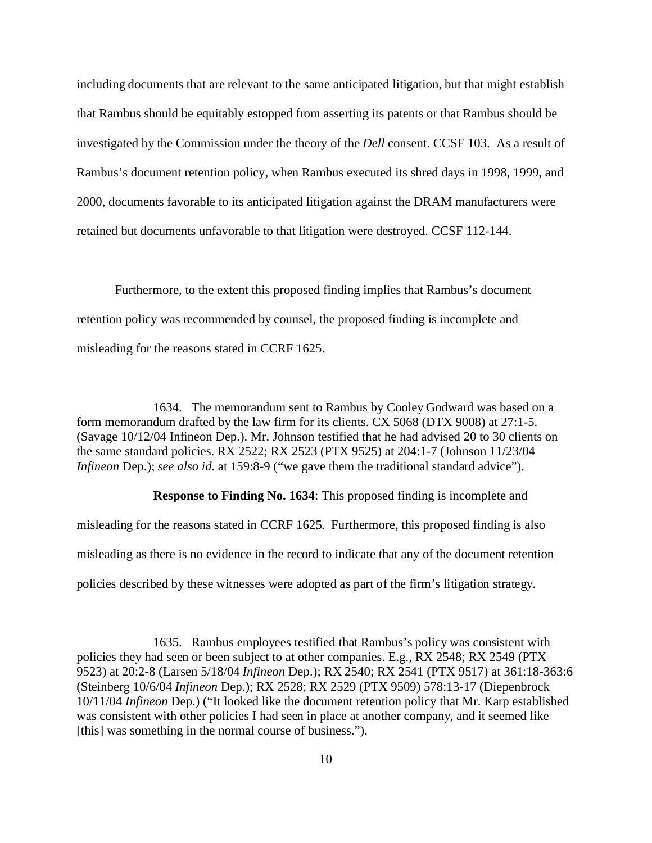including documents that are relevant to the same anticipated litigation, but that might establish that Rambus should be equitably estopped from asserting its patents or that Rambus should be investigated by the Commission under the theory of the *Dell* consent. CCSF 103. As a result of Rambus's document retention policy, when Rambus executed its shred days in 1998, 1999, and 2000, documents favorable to its anticipated litigation against the DRAM manufacturers were retained but documents unfavorable to that litigation were destroyed. CCSF 112-144.

Furthermore, to the extent this proposed finding implies that Rambus's document retention policy was recommended by counsel, the proposed finding is incomplete and misleading for the reasons stated in CCRF 1625.

1634. The memorandum sent to Rambus by Cooley Godward was based on a form memorandum drafted by the law firm for its clients. CX 5068 (DTX 9008) at 27:1-5. (Savage 10/12/04 Infineon Dep.). Mr. Johnson testified that he had advised 20 to 30 clients on the same standard policies. RX 2522; RX 2523 (PTX 9525) at 204:1-7 (Johnson 11/23/04 *Infineon Dep.*); *see also id.* at 159:8-9 ("we gave them the traditional standard advice").

**Response to Finding No. 1634:** This proposed finding is incomplete and misleading for the reasons stated in CCRF 1625. Furthermore, this proposed finding is also misleading as there is no evidence in the record to indicate that any of the document retention policies described by these witnesses were adopted as part of the firm's litigation strategy.

1635. Rambus employees testified that Rambus's policy was consistent with policies they had seen or been subject to at other companies. E.g., RX 2548; RX 2549 (PTX 9523) at 20:2-8 (Larsen 5/18/04 *Infineon* Dep.); RX 2540; RX 2541 (PTX 9517) at 361:18-363:6 (Steinberg 10/6/04 *Infineon* Dep.); RX 2528; RX 2529 (PTX 9509) 578:13-17 (Diepenbrock 10/11/04 *Infineon* Dep.) ("It looked like the document retention policy that Mr. Karp established was consistent with other policies I had seen in place at another company, and it seemed like [this] was something in the normal course of business.").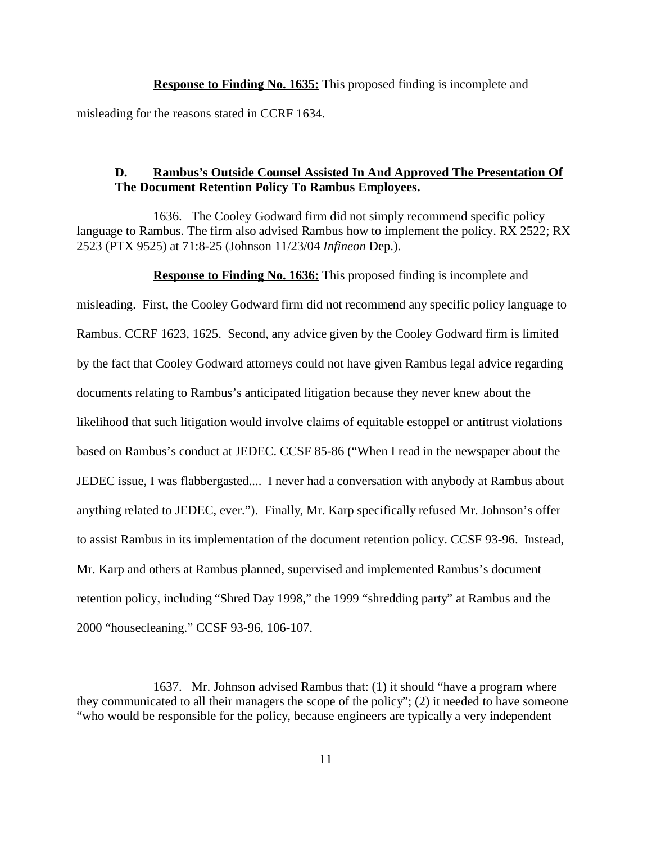**Response to Finding No. 1635:** This proposed finding is incomplete and

misleading for the reasons stated in CCRF 1634.

### **D. Rambus's Outside Counsel Assisted In And Approved The Presentation Of The Document Retention Policy To Rambus Employees.**

1636. The Cooley Godward firm did not simply recommend specific policy language to Rambus. The firm also advised Rambus how to implement the policy. RX 2522; RX 2523 (PTX 9525) at 71:8-25 (Johnson 11/23/04 *Infineon* Dep.).

#### **Response to Finding No. 1636:** This proposed finding is incomplete and

misleading. First, the Cooley Godward firm did not recommend any specific policy language to Rambus. CCRF 1623, 1625. Second, any advice given by the Cooley Godward firm is limited by the fact that Cooley Godward attorneys could not have given Rambus legal advice regarding documents relating to Rambus's anticipated litigation because they never knew about the likelihood that such litigation would involve claims of equitable estoppel or antitrust violations based on Rambus's conduct at JEDEC. CCSF 85-86 ("When I read in the newspaper about the JEDEC issue, I was flabbergasted.... I never had a conversation with anybody at Rambus about anything related to JEDEC, ever."). Finally, Mr. Karp specifically refused Mr. Johnson's offer to assist Rambus in its implementation of the document retention policy. CCSF 93-96. Instead, Mr. Karp and others at Rambus planned, supervised and implemented Rambus's document retention policy, including "Shred Day 1998," the 1999 "shredding party" at Rambus and the 2000 "housecleaning." CCSF 93-96, 106-107.

<sup>1637.</sup> Mr. Johnson advised Rambus that: (1) it should "have a program where they communicated to all their managers the scope of the policy"; (2) it needed to have someone "who would be responsible for the policy, because engineers are typically a very independent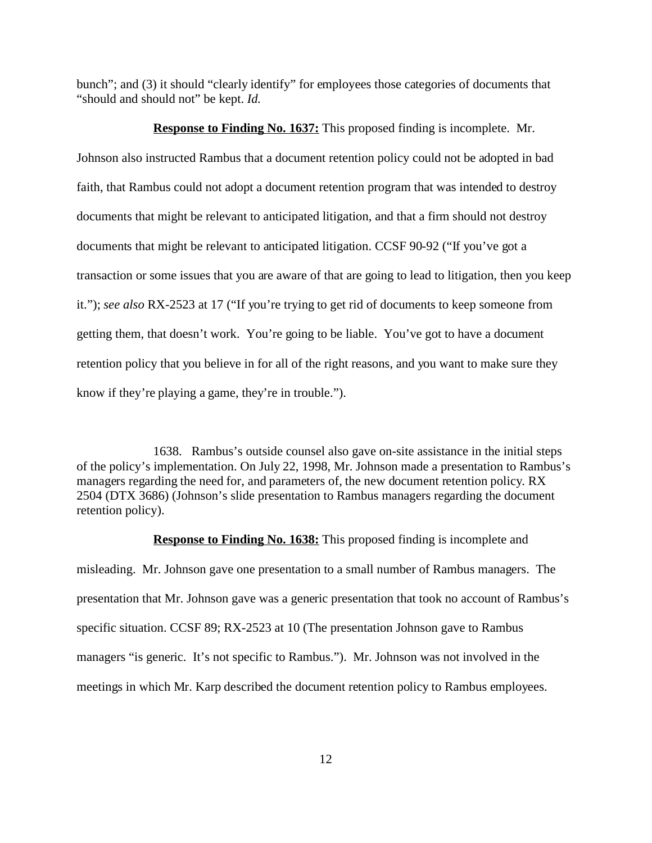bunch"; and (3) it should "clearly identify" for employees those categories of documents that "should and should not" be kept. *Id.*

### **Response to Finding No. 1637:** This proposed finding is incomplete. Mr.

Johnson also instructed Rambus that a document retention policy could not be adopted in bad faith, that Rambus could not adopt a document retention program that was intended to destroy documents that might be relevant to anticipated litigation, and that a firm should not destroy documents that might be relevant to anticipated litigation. CCSF 90-92 ("If you've got a transaction or some issues that you are aware of that are going to lead to litigation, then you keep it."); *see also* RX-2523 at 17 ("If you're trying to get rid of documents to keep someone from getting them, that doesn't work. You're going to be liable. You've got to have a document retention policy that you believe in for all of the right reasons, and you want to make sure they know if they're playing a game, they're in trouble.").

1638. Rambus's outside counsel also gave on-site assistance in the initial steps of the policy's implementation. On July 22, 1998, Mr. Johnson made a presentation to Rambus's managers regarding the need for, and parameters of, the new document retention policy. RX 2504 (DTX 3686) (Johnson's slide presentation to Rambus managers regarding the document retention policy).

**Response to Finding No. 1638:** This proposed finding is incomplete and misleading. Mr. Johnson gave one presentation to a small number of Rambus managers. The presentation that Mr. Johnson gave was a generic presentation that took no account of Rambus's specific situation. CCSF 89; RX-2523 at 10 (The presentation Johnson gave to Rambus managers "is generic. It's not specific to Rambus."). Mr. Johnson was not involved in the meetings in which Mr. Karp described the document retention policy to Rambus employees.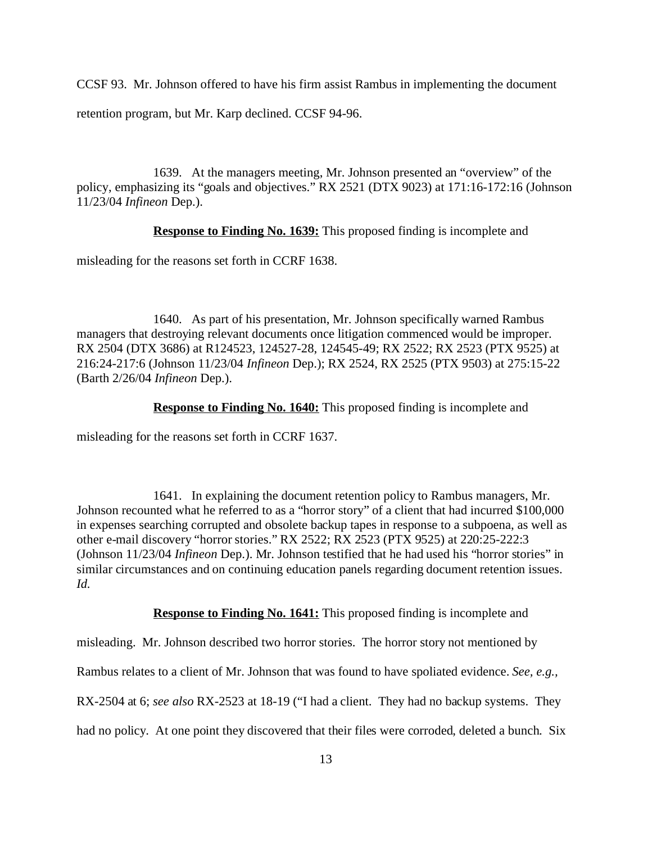CCSF 93. Mr. Johnson offered to have his firm assist Rambus in implementing the document

retention program, but Mr. Karp declined. CCSF 94-96.

1639. At the managers meeting, Mr. Johnson presented an "overview" of the policy, emphasizing its "goals and objectives." RX 2521 (DTX 9023) at 171:16-172:16 (Johnson 11/23/04 *Infineon* Dep.).

**Response to Finding No. 1639:** This proposed finding is incomplete and

misleading for the reasons set forth in CCRF 1638.

1640. As part of his presentation, Mr. Johnson specifically warned Rambus managers that destroying relevant documents once litigation commenced would be improper. RX 2504 (DTX 3686) at R124523, 124527-28, 124545-49; RX 2522; RX 2523 (PTX 9525) at 216:24-217:6 (Johnson 11/23/04 *Infineon* Dep.); RX 2524, RX 2525 (PTX 9503) at 275:15-22 (Barth 2/26/04 *Infineon* Dep.).

**Response to Finding No. 1640:** This proposed finding is incomplete and

misleading for the reasons set forth in CCRF 1637.

1641. In explaining the document retention policy to Rambus managers, Mr. Johnson recounted what he referred to as a "horror story" of a client that had incurred \$100,000 in expenses searching corrupted and obsolete backup tapes in response to a subpoena, as well as other e-mail discovery "horror stories." RX 2522; RX 2523 (PTX 9525) at 220:25-222:3 (Johnson 11/23/04 *Infineon* Dep.). Mr. Johnson testified that he had used his "horror stories" in similar circumstances and on continuing education panels regarding document retention issues. *Id.*

**Response to Finding No. 1641:** This proposed finding is incomplete and

misleading. Mr. Johnson described two horror stories. The horror story not mentioned by

Rambus relates to a client of Mr. Johnson that was found to have spoliated evidence. *See, e.g.,*

RX-2504 at 6; *see also* RX-2523 at 18-19 ("I had a client. They had no backup systems. They

had no policy. At one point they discovered that their files were corroded, deleted a bunch. Six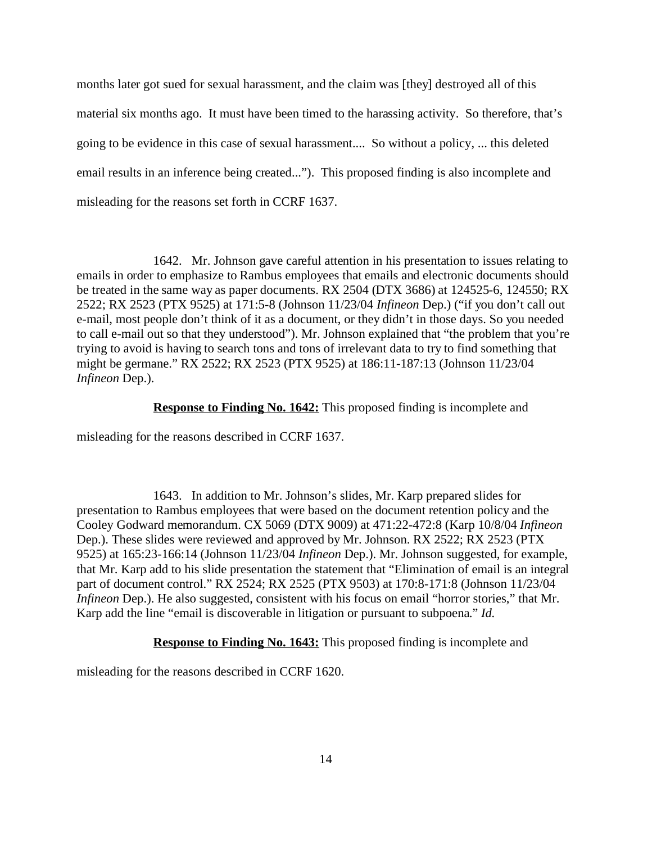months later got sued for sexual harassment, and the claim was [they] destroyed all of this material six months ago. It must have been timed to the harassing activity. So therefore, that's going to be evidence in this case of sexual harassment.... So without a policy, ... this deleted email results in an inference being created..."). This proposed finding is also incomplete and misleading for the reasons set forth in CCRF 1637.

1642. Mr. Johnson gave careful attention in his presentation to issues relating to emails in order to emphasize to Rambus employees that emails and electronic documents should be treated in the same way as paper documents. RX 2504 (DTX 3686) at 124525-6, 124550; RX 2522; RX 2523 (PTX 9525) at 171:5-8 (Johnson 11/23/04 *Infineon* Dep.) ("if you don't call out e-mail, most people don't think of it as a document, or they didn't in those days. So you needed to call e-mail out so that they understood"). Mr. Johnson explained that "the problem that you're trying to avoid is having to search tons and tons of irrelevant data to try to find something that might be germane." RX 2522; RX 2523 (PTX 9525) at 186:11-187:13 (Johnson 11/23/04 *Infineon* Dep.).

**Response to Finding No. 1642:** This proposed finding is incomplete and

misleading for the reasons described in CCRF 1637.

1643. In addition to Mr. Johnson's slides, Mr. Karp prepared slides for presentation to Rambus employees that were based on the document retention policy and the Cooley Godward memorandum. CX 5069 (DTX 9009) at 471:22-472:8 (Karp 10/8/04 *Infineon* Dep.). These slides were reviewed and approved by Mr. Johnson. RX 2522; RX 2523 (PTX 9525) at 165:23-166:14 (Johnson 11/23/04 *Infineon* Dep.). Mr. Johnson suggested, for example, that Mr. Karp add to his slide presentation the statement that "Elimination of email is an integral part of document control." RX 2524; RX 2525 (PTX 9503) at 170:8-171:8 (Johnson 11/23/04 *Infineon Dep.*). He also suggested, consistent with his focus on email "horror stories," that Mr. Karp add the line "email is discoverable in litigation or pursuant to subpoena." *Id.*

**Response to Finding No. 1643:** This proposed finding is incomplete and

misleading for the reasons described in CCRF 1620.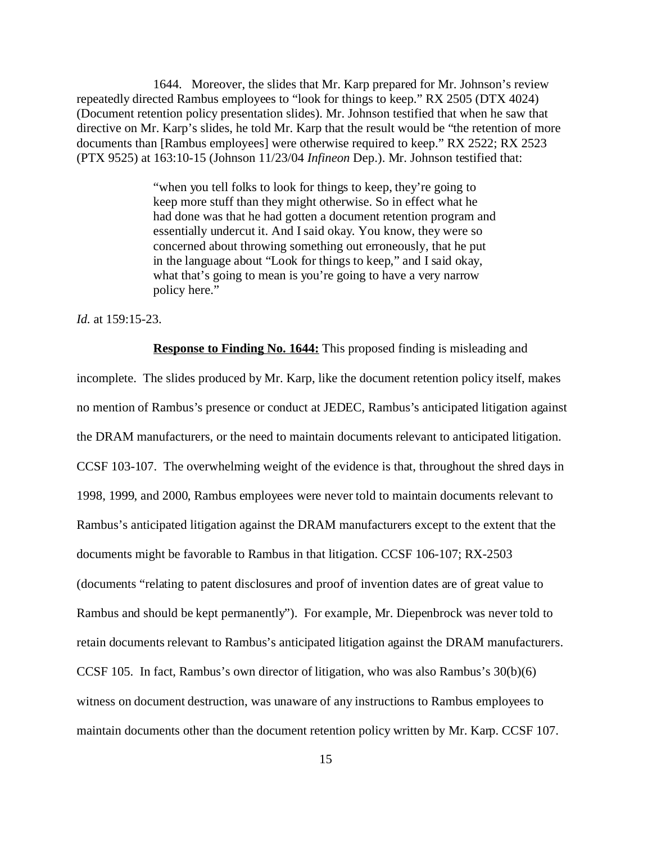1644. Moreover, the slides that Mr. Karp prepared for Mr. Johnson's review repeatedly directed Rambus employees to "look for things to keep." RX 2505 (DTX 4024) (Document retention policy presentation slides). Mr. Johnson testified that when he saw that directive on Mr. Karp's slides, he told Mr. Karp that the result would be "the retention of more documents than [Rambus employees] were otherwise required to keep." RX 2522; RX 2523 (PTX 9525) at 163:10-15 (Johnson 11/23/04 *Infineon* Dep.). Mr. Johnson testified that:

> "when you tell folks to look for things to keep, they're going to keep more stuff than they might otherwise. So in effect what he had done was that he had gotten a document retention program and essentially undercut it. And I said okay. You know, they were so concerned about throwing something out erroneously, that he put in the language about "Look for things to keep," and I said okay, what that's going to mean is you're going to have a very narrow policy here."

*Id.* at 159:15-23.

**Response to Finding No. 1644:** This proposed finding is misleading and

incomplete. The slides produced by Mr. Karp, like the document retention policy itself, makes no mention of Rambus's presence or conduct at JEDEC, Rambus's anticipated litigation against the DRAM manufacturers, or the need to maintain documents relevant to anticipated litigation. CCSF 103-107. The overwhelming weight of the evidence is that, throughout the shred days in 1998, 1999, and 2000, Rambus employees were never told to maintain documents relevant to Rambus's anticipated litigation against the DRAM manufacturers except to the extent that the documents might be favorable to Rambus in that litigation. CCSF 106-107; RX-2503 (documents "relating to patent disclosures and proof of invention dates are of great value to Rambus and should be kept permanently"). For example, Mr. Diepenbrock was never told to retain documents relevant to Rambus's anticipated litigation against the DRAM manufacturers. CCSF 105. In fact, Rambus's own director of litigation, who was also Rambus's 30(b)(6) witness on document destruction, was unaware of any instructions to Rambus employees to maintain documents other than the document retention policy written by Mr. Karp. CCSF 107.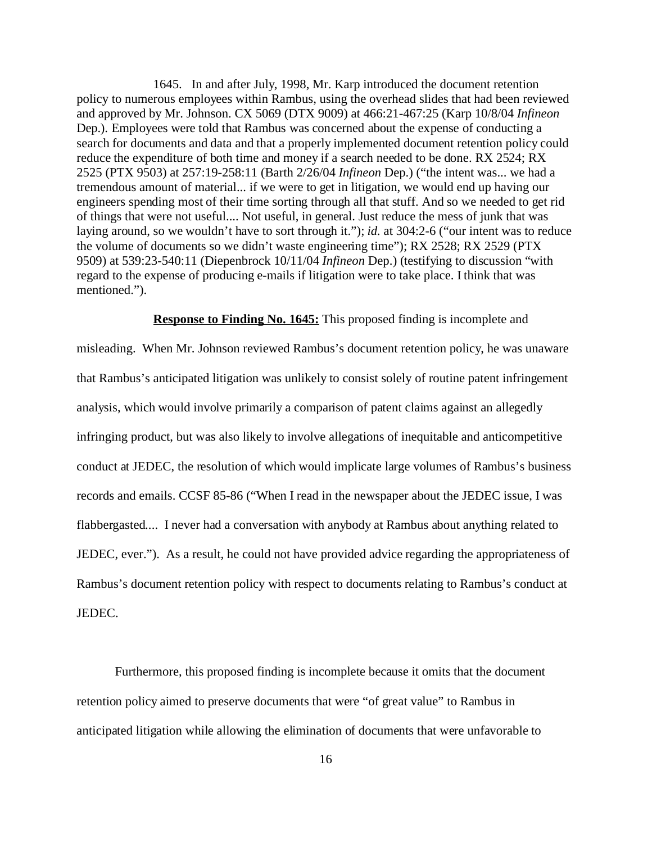1645. In and after July, 1998, Mr. Karp introduced the document retention policy to numerous employees within Rambus, using the overhead slides that had been reviewed and approved by Mr. Johnson. CX 5069 (DTX 9009) at 466:21-467:25 (Karp 10/8/04 *Infineon* Dep.). Employees were told that Rambus was concerned about the expense of conducting a search for documents and data and that a properly implemented document retention policy could reduce the expenditure of both time and money if a search needed to be done. RX 2524; RX 2525 (PTX 9503) at 257:19-258:11 (Barth 2/26/04 *Infineon* Dep.) ("the intent was... we had a tremendous amount of material... if we were to get in litigation, we would end up having our engineers spending most of their time sorting through all that stuff. And so we needed to get rid of things that were not useful.... Not useful, in general. Just reduce the mess of junk that was laying around, so we wouldn't have to sort through it."); *id.* at 304:2-6 ("our intent was to reduce the volume of documents so we didn't waste engineering time"); RX 2528; RX 2529 (PTX 9509) at 539:23-540:11 (Diepenbrock 10/11/04 *Infineon* Dep.) (testifying to discussion "with regard to the expense of producing e-mails if litigation were to take place. I think that was mentioned.").

### **Response to Finding No. 1645:** This proposed finding is incomplete and

misleading. When Mr. Johnson reviewed Rambus's document retention policy, he was unaware that Rambus's anticipated litigation was unlikely to consist solely of routine patent infringement analysis, which would involve primarily a comparison of patent claims against an allegedly infringing product, but was also likely to involve allegations of inequitable and anticompetitive conduct at JEDEC, the resolution of which would implicate large volumes of Rambus's business records and emails. CCSF 85-86 ("When I read in the newspaper about the JEDEC issue, I was flabbergasted.... I never had a conversation with anybody at Rambus about anything related to JEDEC, ever."). As a result, he could not have provided advice regarding the appropriateness of Rambus's document retention policy with respect to documents relating to Rambus's conduct at JEDEC.

Furthermore, this proposed finding is incomplete because it omits that the document retention policy aimed to preserve documents that were "of great value" to Rambus in anticipated litigation while allowing the elimination of documents that were unfavorable to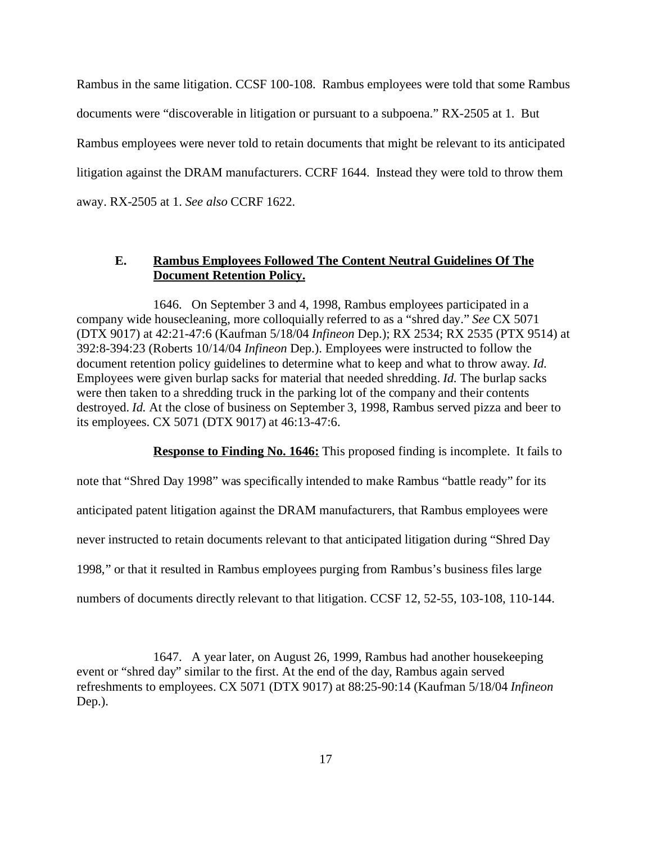Rambus in the same litigation. CCSF 100-108. Rambus employees were told that some Rambus documents were "discoverable in litigation or pursuant to a subpoena." RX-2505 at 1. But Rambus employees were never told to retain documents that might be relevant to its anticipated litigation against the DRAM manufacturers. CCRF 1644. Instead they were told to throw them away. RX-2505 at 1. *See also* CCRF 1622.

## **E. Rambus Employees Followed The Content Neutral Guidelines Of The Document Retention Policy.**

1646. On September 3 and 4, 1998, Rambus employees participated in a company wide housecleaning, more colloquially referred to as a "shred day." *See* CX 5071 (DTX 9017) at 42:21-47:6 (Kaufman 5/18/04 *Infineon* Dep.); RX 2534; RX 2535 (PTX 9514) at 392:8-394:23 (Roberts 10/14/04 *Infineon* Dep.). Employees were instructed to follow the document retention policy guidelines to determine what to keep and what to throw away. *Id.* Employees were given burlap sacks for material that needed shredding. *Id.* The burlap sacks were then taken to a shredding truck in the parking lot of the company and their contents destroyed. *Id.* At the close of business on September 3, 1998, Rambus served pizza and beer to its employees. CX 5071 (DTX 9017) at 46:13-47:6.

**Response to Finding No. 1646:** This proposed finding is incomplete. It fails to

note that "Shred Day 1998" was specifically intended to make Rambus "battle ready" for its anticipated patent litigation against the DRAM manufacturers, that Rambus employees were never instructed to retain documents relevant to that anticipated litigation during "Shred Day 1998," or that it resulted in Rambus employees purging from Rambus's business files large numbers of documents directly relevant to that litigation. CCSF 12, 52-55, 103-108, 110-144.

1647. A year later, on August 26, 1999, Rambus had another housekeeping event or "shred day" similar to the first. At the end of the day, Rambus again served refreshments to employees. CX 5071 (DTX 9017) at 88:25-90:14 (Kaufman 5/18/04 *Infineon* Dep.).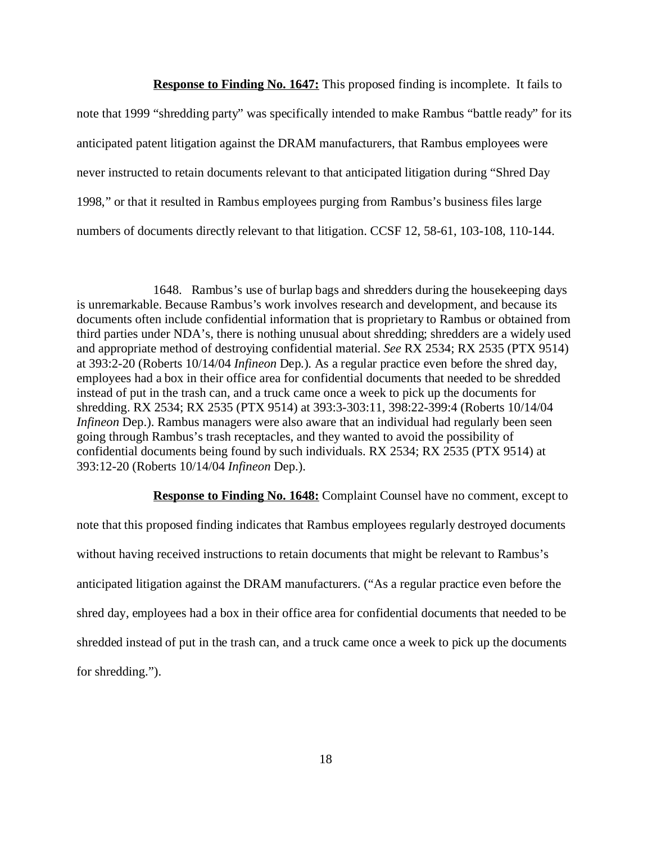**Response to Finding No. 1647:** This proposed finding is incomplete. It fails to note that 1999 "shredding party" was specifically intended to make Rambus "battle ready" for its anticipated patent litigation against the DRAM manufacturers, that Rambus employees were never instructed to retain documents relevant to that anticipated litigation during "Shred Day 1998," or that it resulted in Rambus employees purging from Rambus's business files large numbers of documents directly relevant to that litigation. CCSF 12, 58-61, 103-108, 110-144.

1648. Rambus's use of burlap bags and shredders during the housekeeping days is unremarkable. Because Rambus's work involves research and development, and because its documents often include confidential information that is proprietary to Rambus or obtained from third parties under NDA's, there is nothing unusual about shredding; shredders are a widely used and appropriate method of destroying confidential material. *See* RX 2534; RX 2535 (PTX 9514) at 393:2-20 (Roberts 10/14/04 *Infineon* Dep.). As a regular practice even before the shred day, employees had a box in their office area for confidential documents that needed to be shredded instead of put in the trash can, and a truck came once a week to pick up the documents for shredding. RX 2534; RX 2535 (PTX 9514) at 393:3-303:11, 398:22-399:4 (Roberts 10/14/04 *Infineon Dep.*). Rambus managers were also aware that an individual had regularly been seen going through Rambus's trash receptacles, and they wanted to avoid the possibility of confidential documents being found by such individuals. RX 2534; RX 2535 (PTX 9514) at 393:12-20 (Roberts 10/14/04 *Infineon* Dep.).

**Response to Finding No. 1648:** Complaint Counsel have no comment, except to

note that this proposed finding indicates that Rambus employees regularly destroyed documents without having received instructions to retain documents that might be relevant to Rambus's anticipated litigation against the DRAM manufacturers. ("As a regular practice even before the shred day, employees had a box in their office area for confidential documents that needed to be shredded instead of put in the trash can, and a truck came once a week to pick up the documents for shredding.").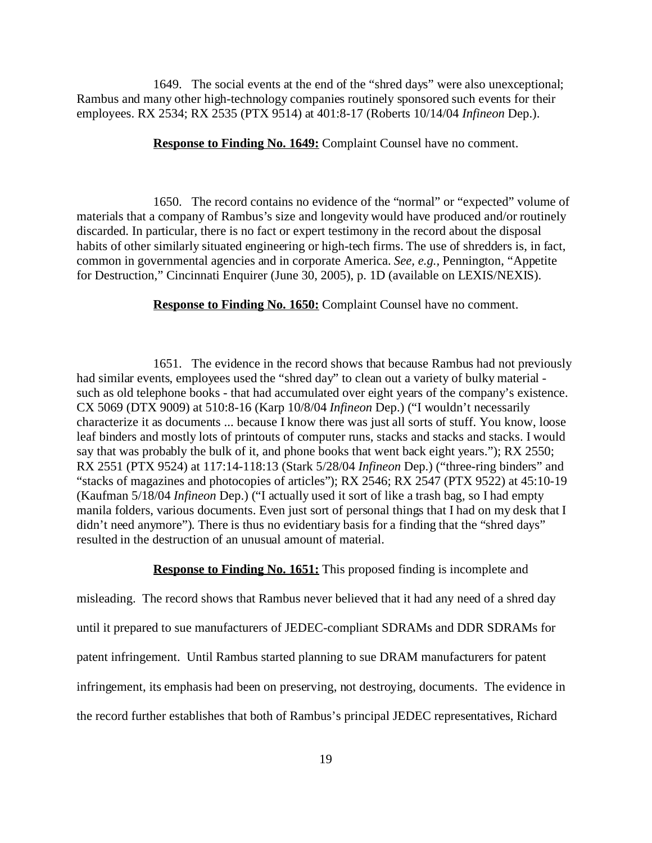1649. The social events at the end of the "shred days" were also unexceptional; Rambus and many other high-technology companies routinely sponsored such events for their employees. RX 2534; RX 2535 (PTX 9514) at 401:8-17 (Roberts 10/14/04 *Infineon* Dep.).

**Response to Finding No. 1649:** Complaint Counsel have no comment.

1650. The record contains no evidence of the "normal" or "expected" volume of materials that a company of Rambus's size and longevity would have produced and/or routinely discarded. In particular, there is no fact or expert testimony in the record about the disposal habits of other similarly situated engineering or high-tech firms. The use of shredders is, in fact, common in governmental agencies and in corporate America. *See, e.g.,* Pennington, "Appetite for Destruction," Cincinnati Enquirer (June 30, 2005), p. 1D (available on LEXIS/NEXIS).

**Response to Finding No. 1650:** Complaint Counsel have no comment.

1651. The evidence in the record shows that because Rambus had not previously had similar events, employees used the "shred day" to clean out a variety of bulky material such as old telephone books - that had accumulated over eight years of the company's existence. CX 5069 (DTX 9009) at 510:8-16 (Karp 10/8/04 *Infineon* Dep.) ("I wouldn't necessarily characterize it as documents ... because I know there was just all sorts of stuff. You know, loose leaf binders and mostly lots of printouts of computer runs, stacks and stacks and stacks. I would say that was probably the bulk of it, and phone books that went back eight years."); RX 2550; RX 2551 (PTX 9524) at 117:14-118:13 (Stark 5/28/04 *Infineon* Dep.) ("three-ring binders" and "stacks of magazines and photocopies of articles"); RX 2546; RX 2547 (PTX 9522) at 45:10-19 (Kaufman 5/18/04 *Infineon* Dep.) ("I actually used it sort of like a trash bag, so I had empty manila folders, various documents. Even just sort of personal things that I had on my desk that I didn't need anymore"). There is thus no evidentiary basis for a finding that the "shred days" resulted in the destruction of an unusual amount of material.

#### **Response to Finding No. 1651:** This proposed finding is incomplete and

misleading. The record shows that Rambus never believed that it had any need of a shred day until it prepared to sue manufacturers of JEDEC-compliant SDRAMs and DDR SDRAMs for patent infringement. Until Rambus started planning to sue DRAM manufacturers for patent infringement, its emphasis had been on preserving, not destroying, documents. The evidence in the record further establishes that both of Rambus's principal JEDEC representatives, Richard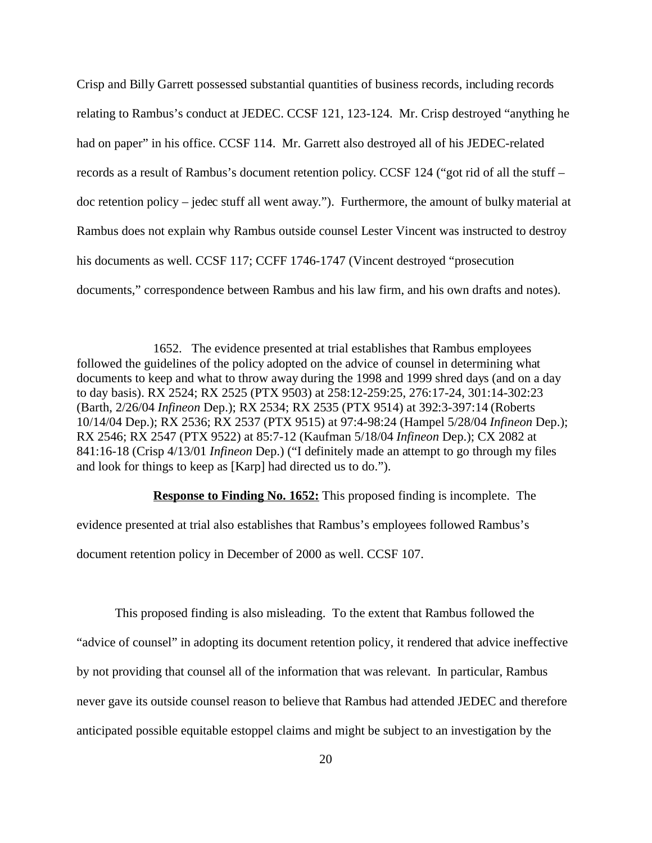Crisp and Billy Garrett possessed substantial quantities of business records, including records relating to Rambus's conduct at JEDEC. CCSF 121, 123-124. Mr. Crisp destroyed "anything he had on paper" in his office. CCSF 114. Mr. Garrett also destroyed all of his JEDEC-related records as a result of Rambus's document retention policy. CCSF 124 ("got rid of all the stuff – doc retention policy – jedec stuff all went away."). Furthermore, the amount of bulky material at Rambus does not explain why Rambus outside counsel Lester Vincent was instructed to destroy his documents as well. CCSF 117; CCFF 1746-1747 (Vincent destroyed "prosecution documents," correspondence between Rambus and his law firm, and his own drafts and notes).

1652. The evidence presented at trial establishes that Rambus employees followed the guidelines of the policy adopted on the advice of counsel in determining what documents to keep and what to throw away during the 1998 and 1999 shred days (and on a day to day basis). RX 2524; RX 2525 (PTX 9503) at 258:12-259:25, 276:17-24, 301:14-302:23 (Barth, 2/26/04 *Infineon* Dep.); RX 2534; RX 2535 (PTX 9514) at 392:3-397:14 (Roberts 10/14/04 Dep.); RX 2536; RX 2537 (PTX 9515) at 97:4-98:24 (Hampel 5/28/04 *Infineon* Dep.); RX 2546; RX 2547 (PTX 9522) at 85:7-12 (Kaufman 5/18/04 *Infineon* Dep.); CX 2082 at 841:16-18 (Crisp 4/13/01 *Infineon* Dep.) ("I definitely made an attempt to go through my files and look for things to keep as [Karp] had directed us to do.").

**Response to Finding No. 1652:** This proposed finding is incomplete. The evidence presented at trial also establishes that Rambus's employees followed Rambus's document retention policy in December of 2000 as well. CCSF 107.

This proposed finding is also misleading. To the extent that Rambus followed the "advice of counsel" in adopting its document retention policy, it rendered that advice ineffective by not providing that counsel all of the information that was relevant. In particular, Rambus never gave its outside counsel reason to believe that Rambus had attended JEDEC and therefore anticipated possible equitable estoppel claims and might be subject to an investigation by the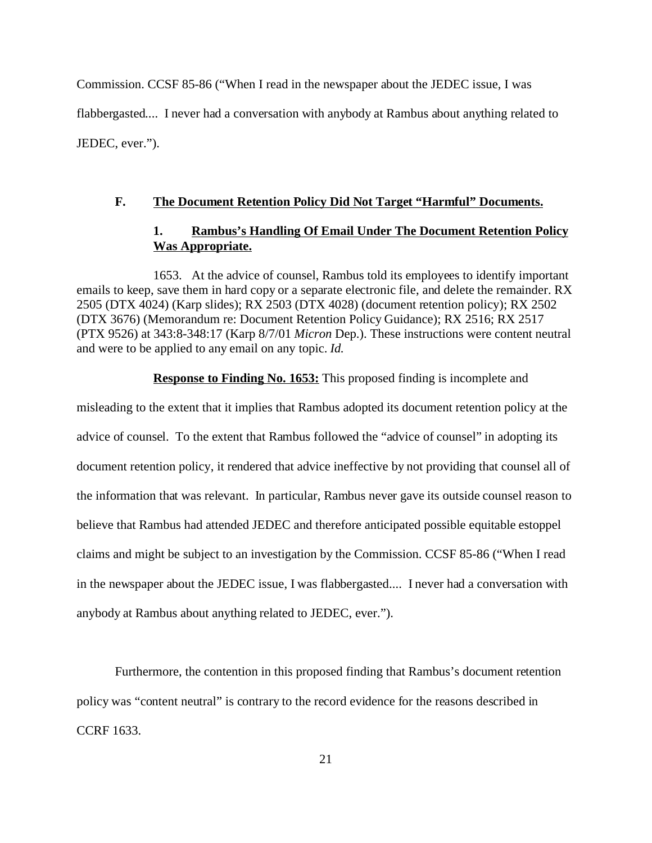Commission. CCSF 85-86 ("When I read in the newspaper about the JEDEC issue, I was flabbergasted.... I never had a conversation with anybody at Rambus about anything related to JEDEC, ever.").

## **F. The Document Retention Policy Did Not Target "Harmful" Documents.**

## **1. Rambus's Handling Of Email Under The Document Retention Policy Was Appropriate.**

1653. At the advice of counsel, Rambus told its employees to identify important emails to keep, save them in hard copy or a separate electronic file, and delete the remainder. RX 2505 (DTX 4024) (Karp slides); RX 2503 (DTX 4028) (document retention policy); RX 2502 (DTX 3676) (Memorandum re: Document Retention Policy Guidance); RX 2516; RX 2517 (PTX 9526) at 343:8-348:17 (Karp 8/7/01 *Micron* Dep.). These instructions were content neutral and were to be applied to any email on any topic. *Id.*

**Response to Finding No. 1653:** This proposed finding is incomplete and

misleading to the extent that it implies that Rambus adopted its document retention policy at the advice of counsel. To the extent that Rambus followed the "advice of counsel" in adopting its document retention policy, it rendered that advice ineffective by not providing that counsel all of the information that was relevant. In particular, Rambus never gave its outside counsel reason to believe that Rambus had attended JEDEC and therefore anticipated possible equitable estoppel claims and might be subject to an investigation by the Commission. CCSF 85-86 ("When I read in the newspaper about the JEDEC issue, I was flabbergasted.... I never had a conversation with anybody at Rambus about anything related to JEDEC, ever.").

Furthermore, the contention in this proposed finding that Rambus's document retention policy was "content neutral" is contrary to the record evidence for the reasons described in CCRF 1633.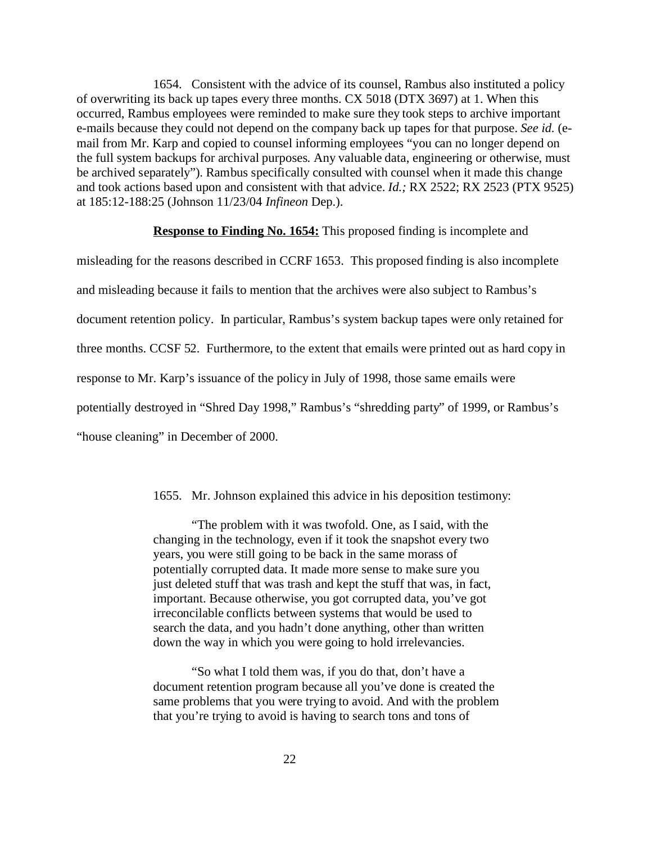1654. Consistent with the advice of its counsel, Rambus also instituted a policy of overwriting its back up tapes every three months. CX 5018 (DTX 3697) at 1. When this occurred, Rambus employees were reminded to make sure they took steps to archive important e-mails because they could not depend on the company back up tapes for that purpose. *See id.* (email from Mr. Karp and copied to counsel informing employees "you can no longer depend on the full system backups for archival purposes. Any valuable data, engineering or otherwise, must be archived separately"). Rambus specifically consulted with counsel when it made this change and took actions based upon and consistent with that advice. *Id.;* RX 2522; RX 2523 (PTX 9525) at 185:12-188:25 (Johnson 11/23/04 *Infineon* Dep.).

### **Response to Finding No. 1654:** This proposed finding is incomplete and

misleading for the reasons described in CCRF 1653. This proposed finding is also incomplete and misleading because it fails to mention that the archives were also subject to Rambus's document retention policy. In particular, Rambus's system backup tapes were only retained for three months. CCSF 52. Furthermore, to the extent that emails were printed out as hard copy in response to Mr. Karp's issuance of the policy in July of 1998, those same emails were potentially destroyed in "Shred Day 1998," Rambus's "shredding party" of 1999, or Rambus's "house cleaning" in December of 2000.

1655. Mr. Johnson explained this advice in his deposition testimony:

"The problem with it was twofold. One, as I said, with the changing in the technology, even if it took the snapshot every two years, you were still going to be back in the same morass of potentially corrupted data. It made more sense to make sure you just deleted stuff that was trash and kept the stuff that was, in fact, important. Because otherwise, you got corrupted data, you've got irreconcilable conflicts between systems that would be used to search the data, and you hadn't done anything, other than written down the way in which you were going to hold irrelevancies.

"So what I told them was, if you do that, don't have a document retention program because all you've done is created the same problems that you were trying to avoid. And with the problem that you're trying to avoid is having to search tons and tons of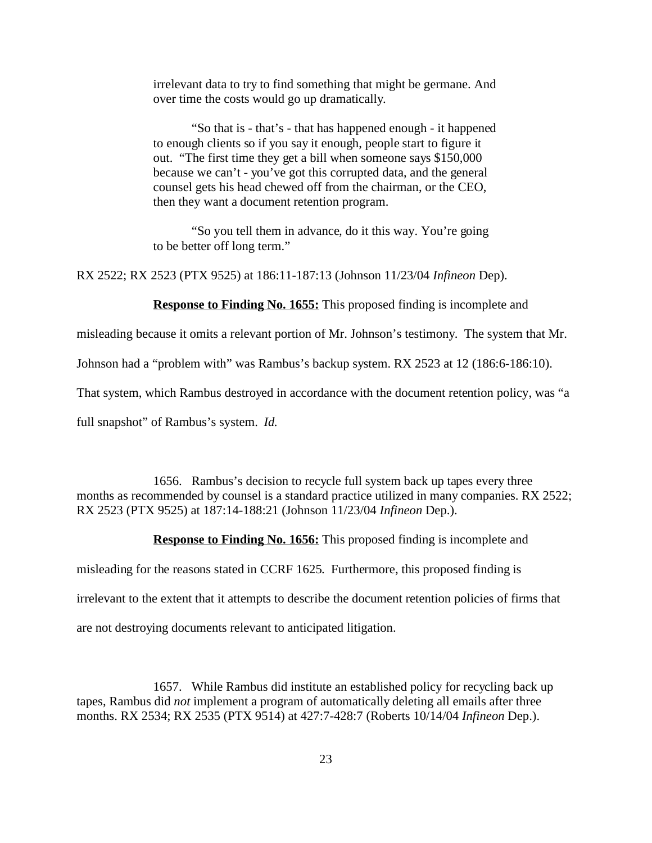irrelevant data to try to find something that might be germane. And over time the costs would go up dramatically.

"So that is - that's - that has happened enough - it happened to enough clients so if you say it enough, people start to figure it out. "The first time they get a bill when someone says \$150,000 because we can't - you've got this corrupted data, and the general counsel gets his head chewed off from the chairman, or the CEO, then they want a document retention program.

"So you tell them in advance, do it this way. You're going to be better off long term."

RX 2522; RX 2523 (PTX 9525) at 186:11-187:13 (Johnson 11/23/04 *Infineon* Dep).

**Response to Finding No. 1655:** This proposed finding is incomplete and

misleading because it omits a relevant portion of Mr. Johnson's testimony. The system that Mr.

Johnson had a "problem with" was Rambus's backup system. RX 2523 at 12 (186:6-186:10).

That system, which Rambus destroyed in accordance with the document retention policy, was "a

full snapshot" of Rambus's system. *Id.*

1656. Rambus's decision to recycle full system back up tapes every three months as recommended by counsel is a standard practice utilized in many companies. RX 2522; RX 2523 (PTX 9525) at 187:14-188:21 (Johnson 11/23/04 *Infineon* Dep.).

**Response to Finding No. 1656:** This proposed finding is incomplete and

misleading for the reasons stated in CCRF 1625. Furthermore, this proposed finding is

irrelevant to the extent that it attempts to describe the document retention policies of firms that

are not destroying documents relevant to anticipated litigation.

1657. While Rambus did institute an established policy for recycling back up tapes, Rambus did *not* implement a program of automatically deleting all emails after three months. RX 2534; RX 2535 (PTX 9514) at 427:7-428:7 (Roberts 10/14/04 *Infineon* Dep.).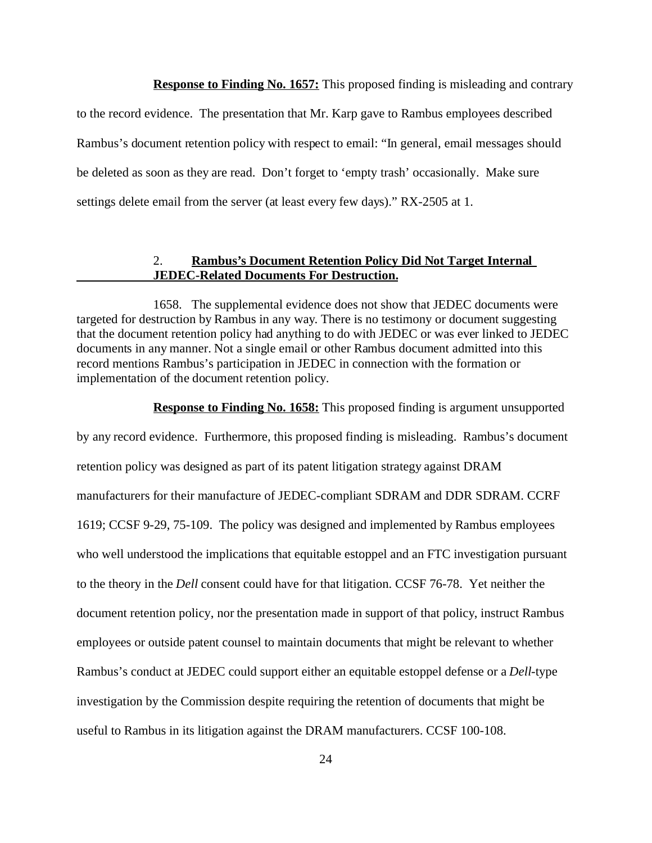**Response to Finding No. 1657:** This proposed finding is misleading and contrary

to the record evidence. The presentation that Mr. Karp gave to Rambus employees described Rambus's document retention policy with respect to email: "In general, email messages should be deleted as soon as they are read. Don't forget to 'empty trash' occasionally. Make sure settings delete email from the server (at least every few days)." RX-2505 at 1.

### 2. **Rambus's Document Retention Policy Did Not Target Internal JEDEC-Related Documents For Destruction.**

1658. The supplemental evidence does not show that JEDEC documents were targeted for destruction by Rambus in any way. There is no testimony or document suggesting that the document retention policy had anything to do with JEDEC or was ever linked to JEDEC documents in any manner. Not a single email or other Rambus document admitted into this record mentions Rambus's participation in JEDEC in connection with the formation or implementation of the document retention policy.

**Response to Finding No. 1658:** This proposed finding is argument unsupported by any record evidence. Furthermore, this proposed finding is misleading. Rambus's document retention policy was designed as part of its patent litigation strategy against DRAM manufacturers for their manufacture of JEDEC-compliant SDRAM and DDR SDRAM. CCRF 1619; CCSF 9-29, 75-109. The policy was designed and implemented by Rambus employees who well understood the implications that equitable estoppel and an FTC investigation pursuant to the theory in the *Dell* consent could have for that litigation. CCSF 76-78. Yet neither the document retention policy, nor the presentation made in support of that policy, instruct Rambus employees or outside patent counsel to maintain documents that might be relevant to whether Rambus's conduct at JEDEC could support either an equitable estoppel defense or a *Dell*-type investigation by the Commission despite requiring the retention of documents that might be useful to Rambus in its litigation against the DRAM manufacturers. CCSF 100-108.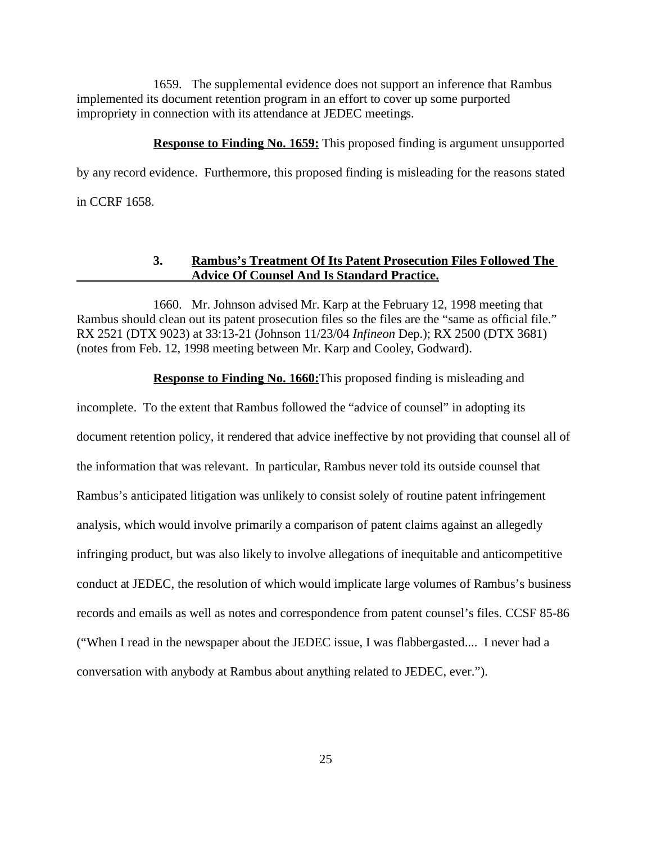1659. The supplemental evidence does not support an inference that Rambus implemented its document retention program in an effort to cover up some purported impropriety in connection with its attendance at JEDEC meetings.

**Response to Finding No. 1659:** This proposed finding is argument unsupported by any record evidence. Furthermore, this proposed finding is misleading for the reasons stated in CCRF 1658.

### **3. Rambus's Treatment Of Its Patent Prosecution Files Followed The Advice Of Counsel And Is Standard Practice.**

1660. Mr. Johnson advised Mr. Karp at the February 12, 1998 meeting that Rambus should clean out its patent prosecution files so the files are the "same as official file." RX 2521 (DTX 9023) at 33:13-21 (Johnson 11/23/04 *Infineon* Dep.); RX 2500 (DTX 3681) (notes from Feb. 12, 1998 meeting between Mr. Karp and Cooley, Godward).

**Response to Finding No. 1660:**This proposed finding is misleading and

incomplete. To the extent that Rambus followed the "advice of counsel" in adopting its document retention policy, it rendered that advice ineffective by not providing that counsel all of the information that was relevant. In particular, Rambus never told its outside counsel that Rambus's anticipated litigation was unlikely to consist solely of routine patent infringement analysis, which would involve primarily a comparison of patent claims against an allegedly infringing product, but was also likely to involve allegations of inequitable and anticompetitive conduct at JEDEC, the resolution of which would implicate large volumes of Rambus's business records and emails as well as notes and correspondence from patent counsel's files. CCSF 85-86 ("When I read in the newspaper about the JEDEC issue, I was flabbergasted.... I never had a conversation with anybody at Rambus about anything related to JEDEC, ever.").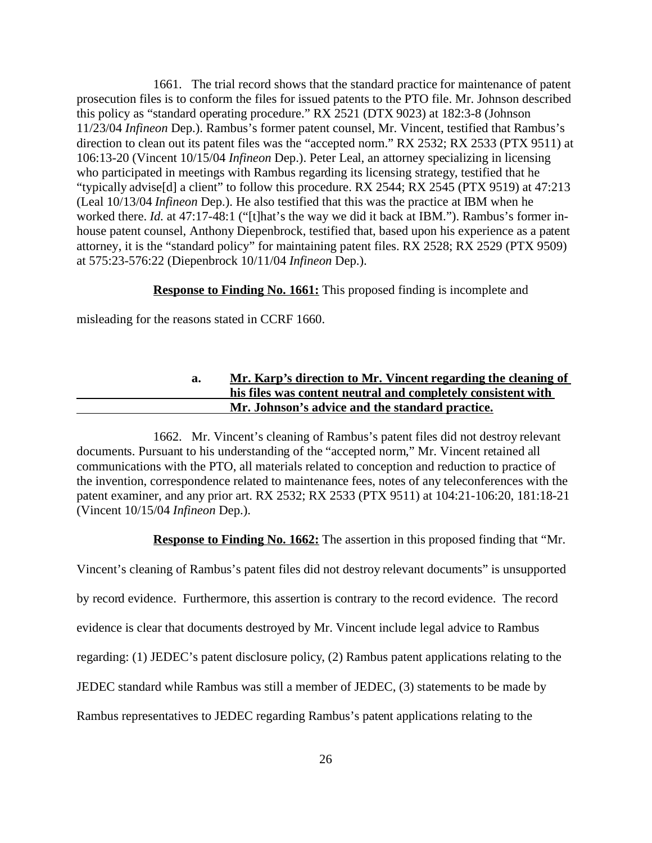1661. The trial record shows that the standard practice for maintenance of patent prosecution files is to conform the files for issued patents to the PTO file. Mr. Johnson described this policy as "standard operating procedure." RX 2521 (DTX 9023) at 182:3-8 (Johnson 11/23/04 *Infineon* Dep.). Rambus's former patent counsel, Mr. Vincent, testified that Rambus's direction to clean out its patent files was the "accepted norm." RX 2532; RX 2533 (PTX 9511) at 106:13-20 (Vincent 10/15/04 *Infineon* Dep.). Peter Leal, an attorney specializing in licensing who participated in meetings with Rambus regarding its licensing strategy, testified that he "typically advise[d] a client" to follow this procedure. RX 2544; RX 2545 (PTX 9519) at 47:213 (Leal 10/13/04 *Infineon* Dep.). He also testified that this was the practice at IBM when he worked there. *Id.* at 47:17-48:1 ("[t]hat's the way we did it back at IBM."). Rambus's former inhouse patent counsel, Anthony Diepenbrock, testified that, based upon his experience as a patent attorney, it is the "standard policy" for maintaining patent files. RX 2528; RX 2529 (PTX 9509) at 575:23-576:22 (Diepenbrock 10/11/04 *Infineon* Dep.).

### **Response to Finding No. 1661:** This proposed finding is incomplete and

misleading for the reasons stated in CCRF 1660.

## **a. Mr. Karp's direction to Mr. Vincent regarding the cleaning of his files was content neutral and completely consistent with Mr. Johnson's advice and the standard practice.**

1662. Mr. Vincent's cleaning of Rambus's patent files did not destroy relevant documents. Pursuant to his understanding of the "accepted norm," Mr. Vincent retained all communications with the PTO, all materials related to conception and reduction to practice of the invention, correspondence related to maintenance fees, notes of any teleconferences with the patent examiner, and any prior art. RX 2532; RX 2533 (PTX 9511) at 104:21-106:20, 181:18-21 (Vincent 10/15/04 *Infineon* Dep.).

**Response to Finding No. 1662:** The assertion in this proposed finding that "Mr.

Vincent's cleaning of Rambus's patent files did not destroy relevant documents" is unsupported by record evidence. Furthermore, this assertion is contrary to the record evidence. The record evidence is clear that documents destroyed by Mr. Vincent include legal advice to Rambus regarding: (1) JEDEC's patent disclosure policy, (2) Rambus patent applications relating to the JEDEC standard while Rambus was still a member of JEDEC, (3) statements to be made by

Rambus representatives to JEDEC regarding Rambus's patent applications relating to the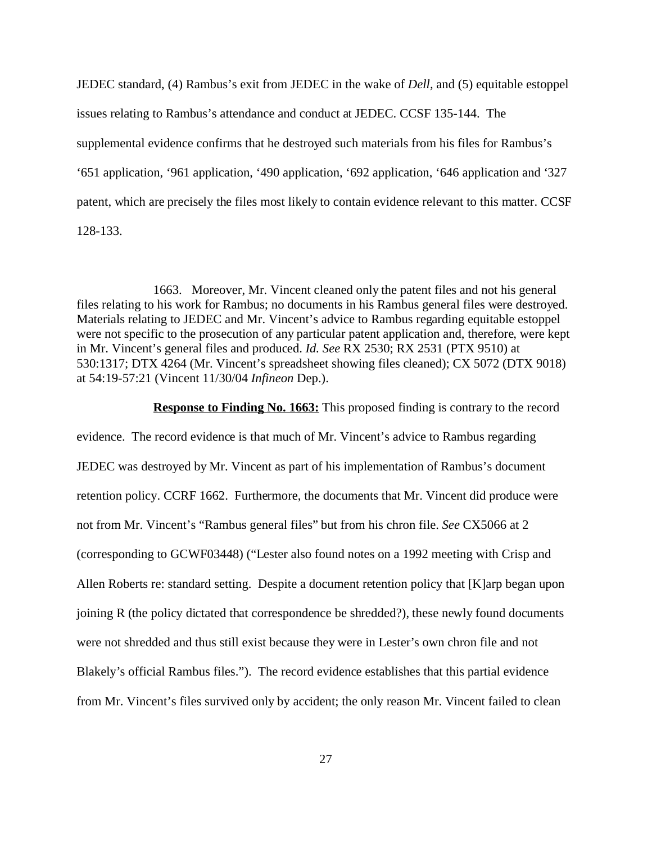JEDEC standard, (4) Rambus's exit from JEDEC in the wake of *Dell,* and (5) equitable estoppel issues relating to Rambus's attendance and conduct at JEDEC. CCSF 135-144. The supplemental evidence confirms that he destroyed such materials from his files for Rambus's '651 application, '961 application, '490 application, '692 application, '646 application and '327 patent, which are precisely the files most likely to contain evidence relevant to this matter. CCSF 128-133.

1663. Moreover, Mr. Vincent cleaned only the patent files and not his general files relating to his work for Rambus; no documents in his Rambus general files were destroyed. Materials relating to JEDEC and Mr. Vincent's advice to Rambus regarding equitable estoppel were not specific to the prosecution of any particular patent application and, therefore, were kept in Mr. Vincent's general files and produced. *Id. See* RX 2530; RX 2531 (PTX 9510) at 530:1317; DTX 4264 (Mr. Vincent's spreadsheet showing files cleaned); CX 5072 (DTX 9018) at 54:19-57:21 (Vincent 11/30/04 *Infineon* Dep.).

**Response to Finding No. 1663:** This proposed finding is contrary to the record evidence. The record evidence is that much of Mr. Vincent's advice to Rambus regarding JEDEC was destroyed by Mr. Vincent as part of his implementation of Rambus's document retention policy. CCRF 1662. Furthermore, the documents that Mr. Vincent did produce were not from Mr. Vincent's "Rambus general files" but from his chron file. *See* CX5066 at 2 (corresponding to GCWF03448) ("Lester also found notes on a 1992 meeting with Crisp and Allen Roberts re: standard setting. Despite a document retention policy that [K]arp began upon joining R (the policy dictated that correspondence be shredded?), these newly found documents were not shredded and thus still exist because they were in Lester's own chron file and not Blakely's official Rambus files."). The record evidence establishes that this partial evidence from Mr. Vincent's files survived only by accident; the only reason Mr. Vincent failed to clean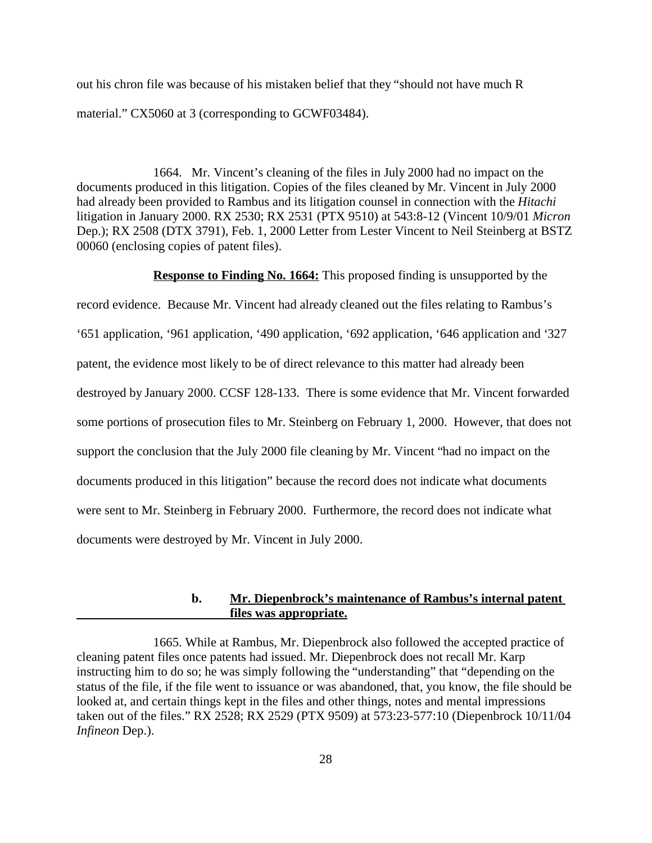out his chron file was because of his mistaken belief that they "should not have much R material." CX5060 at 3 (corresponding to GCWF03484).

1664. Mr. Vincent's cleaning of the files in July 2000 had no impact on the documents produced in this litigation. Copies of the files cleaned by Mr. Vincent in July 2000 had already been provided to Rambus and its litigation counsel in connection with the *Hitachi* litigation in January 2000. RX 2530; RX 2531 (PTX 9510) at 543:8-12 (Vincent 10/9/01 *Micron* Dep.); RX 2508 (DTX 3791), Feb. 1, 2000 Letter from Lester Vincent to Neil Steinberg at BSTZ 00060 (enclosing copies of patent files).

**Response to Finding No. 1664:** This proposed finding is unsupported by the

record evidence. Because Mr. Vincent had already cleaned out the files relating to Rambus's '651 application, '961 application, '490 application, '692 application, '646 application and '327 patent, the evidence most likely to be of direct relevance to this matter had already been destroyed by January 2000. CCSF 128-133. There is some evidence that Mr. Vincent forwarded some portions of prosecution files to Mr. Steinberg on February 1, 2000. However, that does not support the conclusion that the July 2000 file cleaning by Mr. Vincent "had no impact on the documents produced in this litigation" because the record does not indicate what documents were sent to Mr. Steinberg in February 2000. Furthermore, the record does not indicate what documents were destroyed by Mr. Vincent in July 2000.

## **b. Mr. Diepenbrock's maintenance of Rambus's internal patent files was appropriate.**

<sup>1665.</sup> While at Rambus, Mr. Diepenbrock also followed the accepted practice of cleaning patent files once patents had issued. Mr. Diepenbrock does not recall Mr. Karp instructing him to do so; he was simply following the "understanding" that "depending on the status of the file, if the file went to issuance or was abandoned, that, you know, the file should be looked at, and certain things kept in the files and other things, notes and mental impressions taken out of the files." RX 2528; RX 2529 (PTX 9509) at 573:23-577:10 (Diepenbrock 10/11/04 *Infineon* Dep.).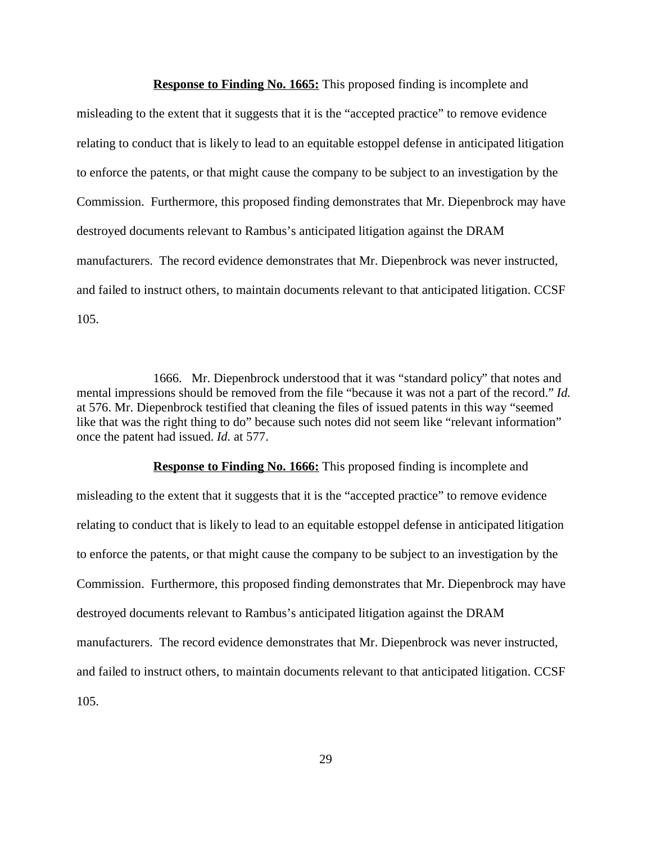**Response to Finding No. 1665:** This proposed finding is incomplete and misleading to the extent that it suggests that it is the "accepted practice" to remove evidence relating to conduct that is likely to lead to an equitable estoppel defense in anticipated litigation to enforce the patents, or that might cause the company to be subject to an investigation by the Commission. Furthermore, this proposed finding demonstrates that Mr. Diepenbrock may have destroyed documents relevant to Rambus's anticipated litigation against the DRAM manufacturers. The record evidence demonstrates that Mr. Diepenbrock was never instructed, and failed to instruct others, to maintain documents relevant to that anticipated litigation. CCSF 105.

1666. Mr. Diepenbrock understood that it was "standard policy" that notes and mental impressions should be removed from the file "because it was not a part of the record." *Id.* at 576. Mr. Diepenbrock testified that cleaning the files of issued patents in this way "seemed like that was the right thing to do" because such notes did not seem like "relevant information" once the patent had issued. *Id.* at 577.

**Response to Finding No. 1666:** This proposed finding is incomplete and misleading to the extent that it suggests that it is the "accepted practice" to remove evidence relating to conduct that is likely to lead to an equitable estoppel defense in anticipated litigation to enforce the patents, or that might cause the company to be subject to an investigation by the Commission. Furthermore, this proposed finding demonstrates that Mr. Diepenbrock may have destroyed documents relevant to Rambus's anticipated litigation against the DRAM manufacturers. The record evidence demonstrates that Mr. Diepenbrock was never instructed, and failed to instruct others, to maintain documents relevant to that anticipated litigation. CCSF 105.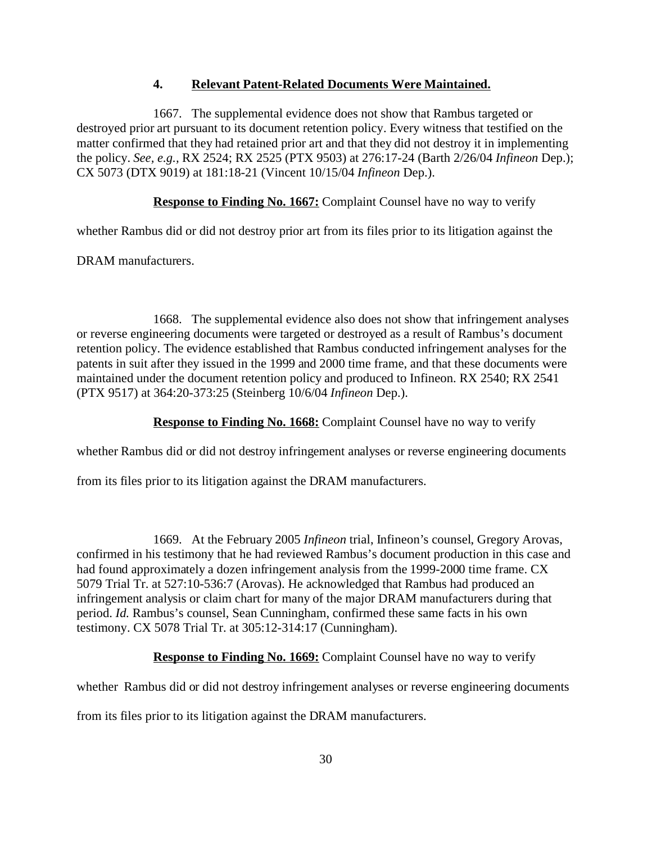## **4. Relevant Patent-Related Documents Were Maintained.**

1667. The supplemental evidence does not show that Rambus targeted or destroyed prior art pursuant to its document retention policy. Every witness that testified on the matter confirmed that they had retained prior art and that they did not destroy it in implementing the policy. *See, e.g.,* RX 2524; RX 2525 (PTX 9503) at 276:17-24 (Barth 2/26/04 *Infineon* Dep.); CX 5073 (DTX 9019) at 181:18-21 (Vincent 10/15/04 *Infineon* Dep.).

**Response to Finding No. 1667:** Complaint Counsel have no way to verify

whether Rambus did or did not destroy prior art from its files prior to its litigation against the

DRAM manufacturers.

1668. The supplemental evidence also does not show that infringement analyses or reverse engineering documents were targeted or destroyed as a result of Rambus's document retention policy. The evidence established that Rambus conducted infringement analyses for the patents in suit after they issued in the 1999 and 2000 time frame, and that these documents were maintained under the document retention policy and produced to Infineon. RX 2540; RX 2541 (PTX 9517) at 364:20-373:25 (Steinberg 10/6/04 *Infineon* Dep.).

## **Response to Finding No. 1668:** Complaint Counsel have no way to verify

whether Rambus did or did not destroy infringement analyses or reverse engineering documents

from its files prior to its litigation against the DRAM manufacturers.

1669. At the February 2005 *Infineon* trial, Infineon's counsel, Gregory Arovas, confirmed in his testimony that he had reviewed Rambus's document production in this case and had found approximately a dozen infringement analysis from the 1999-2000 time frame. CX 5079 Trial Tr. at 527:10-536:7 (Arovas). He acknowledged that Rambus had produced an infringement analysis or claim chart for many of the major DRAM manufacturers during that period. *Id.* Rambus's counsel, Sean Cunningham, confirmed these same facts in his own testimony. CX 5078 Trial Tr. at 305:12-314:17 (Cunningham).

**Response to Finding No. 1669:** Complaint Counsel have no way to verify

whether Rambus did or did not destroy infringement analyses or reverse engineering documents

from its files prior to its litigation against the DRAM manufacturers.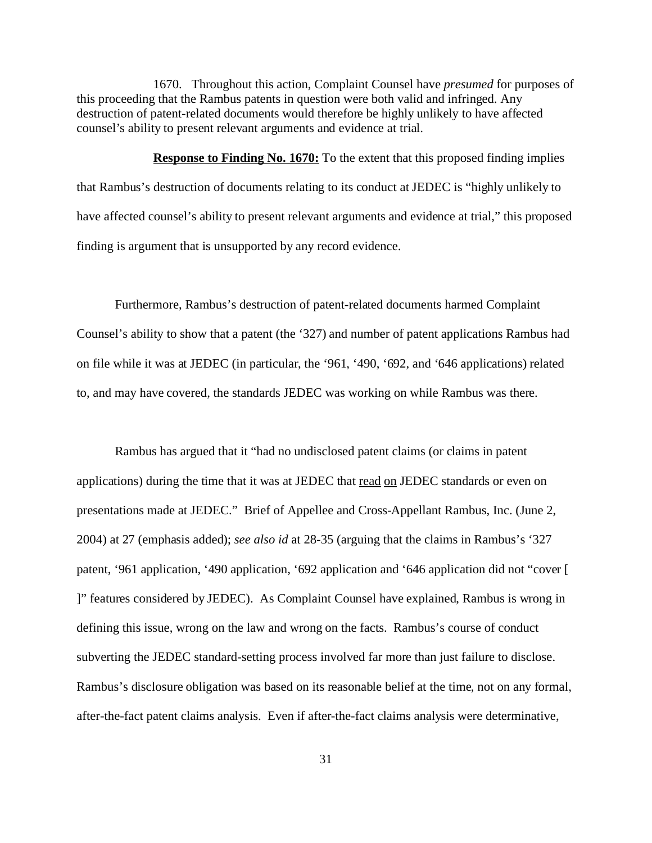1670. Throughout this action, Complaint Counsel have *presumed* for purposes of this proceeding that the Rambus patents in question were both valid and infringed. Any destruction of patent-related documents would therefore be highly unlikely to have affected counsel's ability to present relevant arguments and evidence at trial.

**Response to Finding No. 1670:** To the extent that this proposed finding implies that Rambus's destruction of documents relating to its conduct at JEDEC is "highly unlikely to have affected counsel's ability to present relevant arguments and evidence at trial," this proposed finding is argument that is unsupported by any record evidence.

Furthermore, Rambus's destruction of patent-related documents harmed Complaint Counsel's ability to show that a patent (the '327) and number of patent applications Rambus had on file while it was at JEDEC (in particular, the '961, '490, '692, and '646 applications) related to, and may have covered, the standards JEDEC was working on while Rambus was there.

Rambus has argued that it "had no undisclosed patent claims (or claims in patent applications) during the time that it was at JEDEC that read on JEDEC standards or even on presentations made at JEDEC." Brief of Appellee and Cross-Appellant Rambus, Inc. (June 2, 2004) at 27 (emphasis added); *see also id* at 28-35 (arguing that the claims in Rambus's '327 patent, '961 application, '490 application, '692 application and '646 application did not "cover [ ]" features considered by JEDEC). As Complaint Counsel have explained, Rambus is wrong in defining this issue, wrong on the law and wrong on the facts. Rambus's course of conduct subverting the JEDEC standard-setting process involved far more than just failure to disclose. Rambus's disclosure obligation was based on its reasonable belief at the time, not on any formal, after-the-fact patent claims analysis. Even if after-the-fact claims analysis were determinative,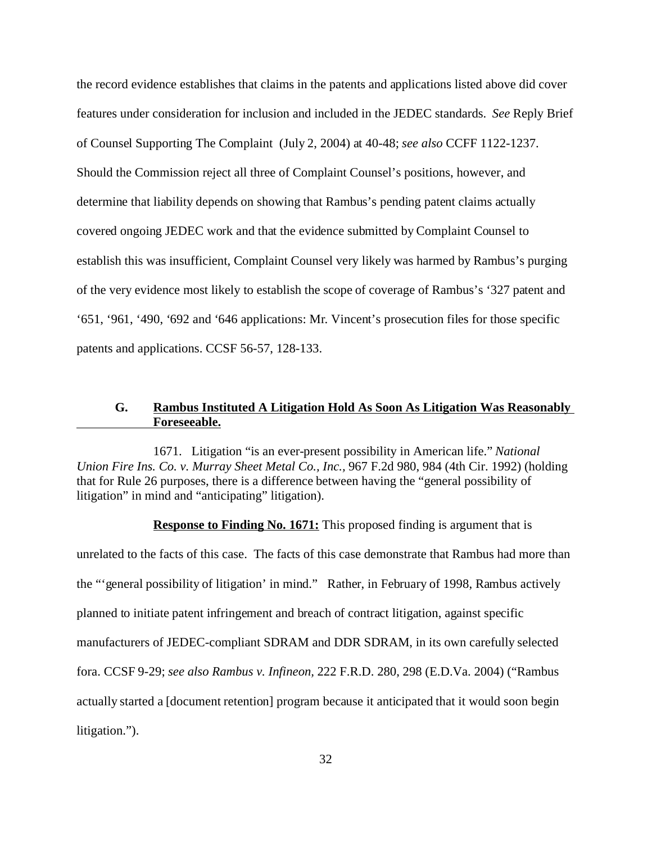the record evidence establishes that claims in the patents and applications listed above did cover features under consideration for inclusion and included in the JEDEC standards. *See* Reply Brief of Counsel Supporting The Complaint (July 2, 2004) at 40-48; *see also* CCFF 1122-1237. Should the Commission reject all three of Complaint Counsel's positions, however, and determine that liability depends on showing that Rambus's pending patent claims actually covered ongoing JEDEC work and that the evidence submitted by Complaint Counsel to establish this was insufficient, Complaint Counsel very likely was harmed by Rambus's purging of the very evidence most likely to establish the scope of coverage of Rambus's '327 patent and '651, '961, '490, '692 and '646 applications: Mr. Vincent's prosecution files for those specific patents and applications. CCSF 56-57, 128-133.

## **G. Rambus Instituted A Litigation Hold As Soon As Litigation Was Reasonably Foreseeable.**

1671. Litigation "is an ever-present possibility in American life." *National Union Fire Ins. Co. v. Murray Sheet Metal Co., Inc.,* 967 F.2d 980, 984 (4th Cir. 1992) (holding that for Rule 26 purposes, there is a difference between having the "general possibility of litigation" in mind and "anticipating" litigation).

**Response to Finding No. 1671:** This proposed finding is argument that is unrelated to the facts of this case. The facts of this case demonstrate that Rambus had more than the "'general possibility of litigation' in mind." Rather, in February of 1998, Rambus actively planned to initiate patent infringement and breach of contract litigation, against specific manufacturers of JEDEC-compliant SDRAM and DDR SDRAM, in its own carefully selected fora. CCSF 9-29; *see also Rambus v. Infineon,* 222 F.R.D. 280, 298 (E.D.Va. 2004) ("Rambus actually started a [document retention] program because it anticipated that it would soon begin litigation.").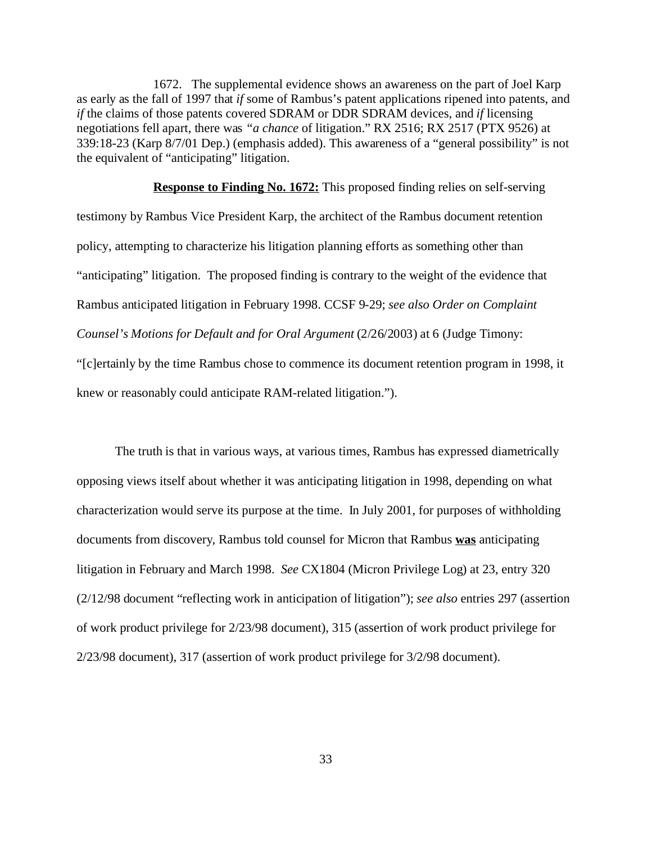1672. The supplemental evidence shows an awareness on the part of Joel Karp as early as the fall of 1997 that *if* some of Rambus's patent applications ripened into patents, and *if* the claims of those patents covered SDRAM or DDR SDRAM devices, and *if* licensing negotiations fell apart, there was *"a chance* of litigation." RX 2516; RX 2517 (PTX 9526) at 339:18-23 (Karp 8/7/01 Dep.) (emphasis added). This awareness of a "general possibility" is not the equivalent of "anticipating" litigation.

**Response to Finding No. 1672:** This proposed finding relies on self-serving testimony by Rambus Vice President Karp, the architect of the Rambus document retention policy, attempting to characterize his litigation planning efforts as something other than "anticipating" litigation. The proposed finding is contrary to the weight of the evidence that Rambus anticipated litigation in February 1998. CCSF 9-29; *see also Order on Complaint Counsel's Motions for Default and for Oral Argument (2/26/2003)* at 6 (Judge Timony: "[c]ertainly by the time Rambus chose to commence its document retention program in 1998, it knew or reasonably could anticipate RAM-related litigation.").

The truth is that in various ways, at various times, Rambus has expressed diametrically opposing views itself about whether it was anticipating litigation in 1998, depending on what characterization would serve its purpose at the time. In July 2001, for purposes of withholding documents from discovery, Rambus told counsel for Micron that Rambus **was** anticipating litigation in February and March 1998. *See* CX1804 (Micron Privilege Log) at 23, entry 320 (2/12/98 document "reflecting work in anticipation of litigation"); *see also* entries 297 (assertion of work product privilege for 2/23/98 document), 315 (assertion of work product privilege for 2/23/98 document), 317 (assertion of work product privilege for 3/2/98 document).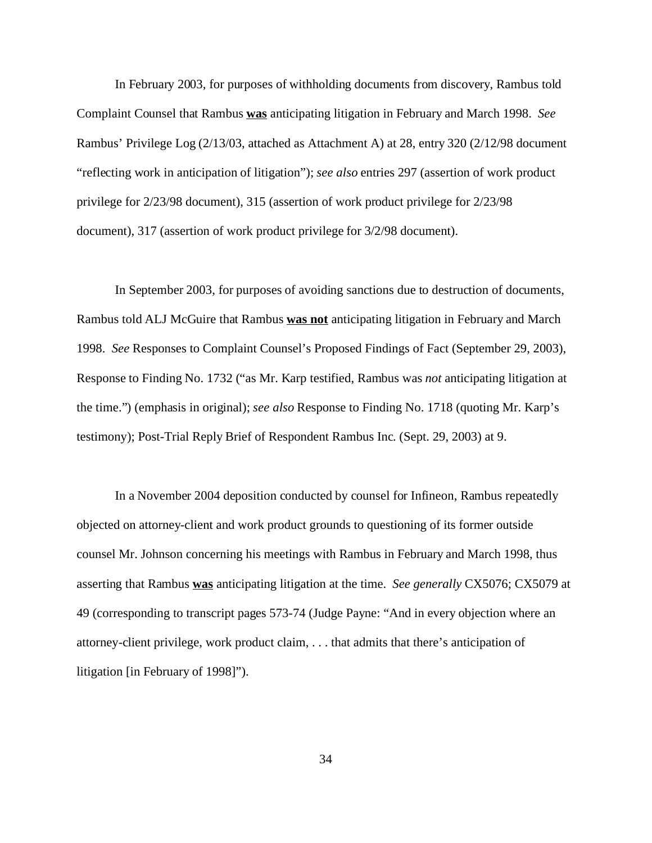In February 2003, for purposes of withholding documents from discovery, Rambus told Complaint Counsel that Rambus **was** anticipating litigation in February and March 1998. *See* Rambus' Privilege Log (2/13/03, attached as Attachment A) at 28, entry 320 (2/12/98 document "reflecting work in anticipation of litigation"); *see also* entries 297 (assertion of work product privilege for 2/23/98 document), 315 (assertion of work product privilege for 2/23/98 document), 317 (assertion of work product privilege for 3/2/98 document).

In September 2003, for purposes of avoiding sanctions due to destruction of documents, Rambus told ALJ McGuire that Rambus **was not** anticipating litigation in February and March 1998. *See* Responses to Complaint Counsel's Proposed Findings of Fact (September 29, 2003), Response to Finding No. 1732 ("as Mr. Karp testified, Rambus was *not* anticipating litigation at the time.") (emphasis in original); *see also* Response to Finding No. 1718 (quoting Mr. Karp's testimony); Post-Trial Reply Brief of Respondent Rambus Inc. (Sept. 29, 2003) at 9.

In a November 2004 deposition conducted by counsel for Infineon, Rambus repeatedly objected on attorney-client and work product grounds to questioning of its former outside counsel Mr. Johnson concerning his meetings with Rambus in February and March 1998, thus asserting that Rambus **was** anticipating litigation at the time. *See generally* CX5076; CX5079 at 49 (corresponding to transcript pages 573-74 (Judge Payne: "And in every objection where an attorney-client privilege, work product claim, . . . that admits that there's anticipation of litigation [in February of 1998]").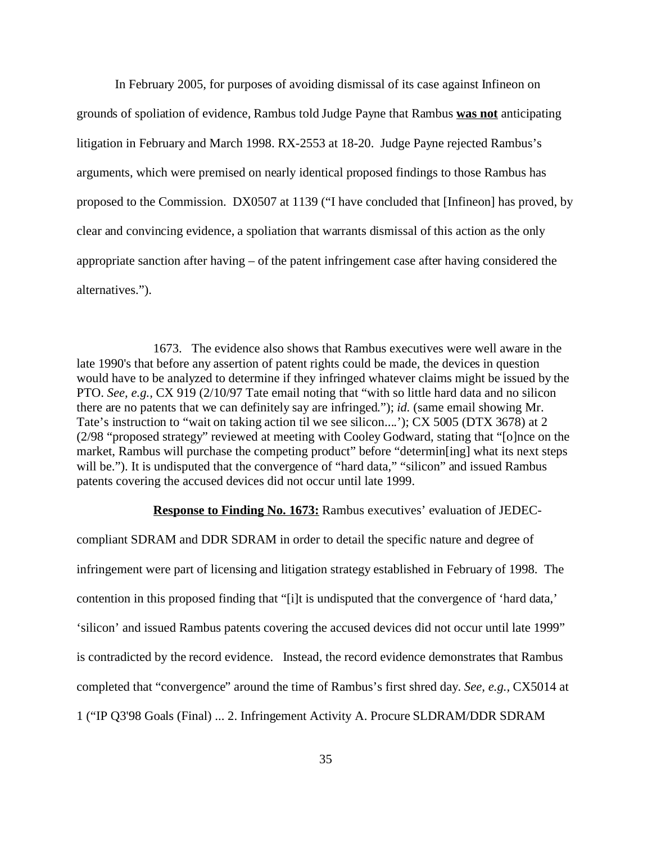In February 2005, for purposes of avoiding dismissal of its case against Infineon on grounds of spoliation of evidence, Rambus told Judge Payne that Rambus **was not** anticipating litigation in February and March 1998. RX-2553 at 18-20. Judge Payne rejected Rambus's arguments, which were premised on nearly identical proposed findings to those Rambus has proposed to the Commission. DX0507 at 1139 ("I have concluded that [Infineon] has proved, by clear and convincing evidence, a spoliation that warrants dismissal of this action as the only appropriate sanction after having – of the patent infringement case after having considered the alternatives.").

1673. The evidence also shows that Rambus executives were well aware in the late 1990's that before any assertion of patent rights could be made, the devices in question would have to be analyzed to determine if they infringed whatever claims might be issued by the PTO. *See, e.g.,* CX 919 (2/10/97 Tate email noting that "with so little hard data and no silicon there are no patents that we can definitely say are infringed."); *id.* (same email showing Mr. Tate's instruction to "wait on taking action til we see silicon....'); CX 5005 (DTX 3678) at 2 (2/98 "proposed strategy" reviewed at meeting with Cooley Godward, stating that "[o]nce on the market, Rambus will purchase the competing product" before "determin[ing] what its next steps will be."). It is undisputed that the convergence of "hard data," "silicon" and issued Rambus patents covering the accused devices did not occur until late 1999.

#### **Response to Finding No. 1673:** Rambus executives' evaluation of JEDEC-

compliant SDRAM and DDR SDRAM in order to detail the specific nature and degree of infringement were part of licensing and litigation strategy established in February of 1998. The contention in this proposed finding that "[i]t is undisputed that the convergence of 'hard data,' 'silicon' and issued Rambus patents covering the accused devices did not occur until late 1999" is contradicted by the record evidence. Instead, the record evidence demonstrates that Rambus completed that "convergence" around the time of Rambus's first shred day. *See, e.g.,* CX5014 at 1 ("IP Q3'98 Goals (Final) ... 2. Infringement Activity A. Procure SLDRAM/DDR SDRAM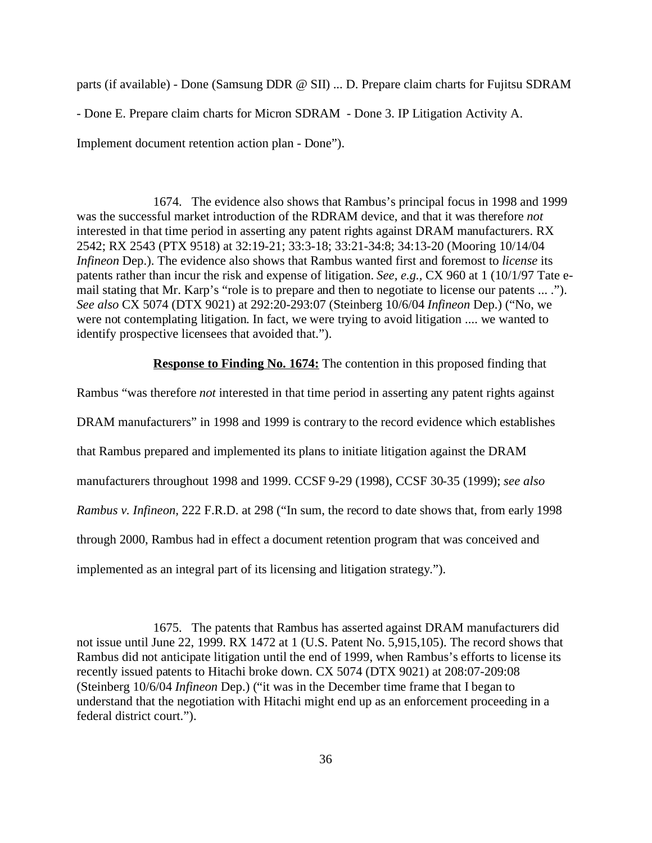parts (if available) - Done (Samsung DDR @ SII) ... D. Prepare claim charts for Fujitsu SDRAM

- Done E. Prepare claim charts for Micron SDRAM - Done 3. IP Litigation Activity A.

Implement document retention action plan - Done").

1674. The evidence also shows that Rambus's principal focus in 1998 and 1999 was the successful market introduction of the RDRAM device, and that it was therefore *not* interested in that time period in asserting any patent rights against DRAM manufacturers. RX 2542; RX 2543 (PTX 9518) at 32:19-21; 33:3-18; 33:21-34:8; 34:13-20 (Mooring 10/14/04 *Infineon* Dep.). The evidence also shows that Rambus wanted first and foremost to *license* its patents rather than incur the risk and expense of litigation. *See, e.g.,* CX 960 at 1 (10/1/97 Tate email stating that Mr. Karp's "role is to prepare and then to negotiate to license our patents ... ."). *See also* CX 5074 (DTX 9021) at 292:20-293:07 (Steinberg 10/6/04 *Infineon* Dep.) ("No, we were not contemplating litigation. In fact, we were trying to avoid litigation .... we wanted to identify prospective licensees that avoided that.").

**Response to Finding No. 1674:** The contention in this proposed finding that

Rambus "was therefore *not* interested in that time period in asserting any patent rights against DRAM manufacturers" in 1998 and 1999 is contrary to the record evidence which establishes that Rambus prepared and implemented its plans to initiate litigation against the DRAM manufacturers throughout 1998 and 1999. CCSF 9-29 (1998), CCSF 30-35 (1999); *see also Rambus v. Infineon,* 222 F.R.D. at 298 ("In sum, the record to date shows that, from early 1998 through 2000, Rambus had in effect a document retention program that was conceived and implemented as an integral part of its licensing and litigation strategy.").

1675. The patents that Rambus has asserted against DRAM manufacturers did not issue until June 22, 1999. RX 1472 at 1 (U.S. Patent No. 5,915,105). The record shows that Rambus did not anticipate litigation until the end of 1999, when Rambus's efforts to license its recently issued patents to Hitachi broke down. CX 5074 (DTX 9021) at 208:07-209:08 (Steinberg 10/6/04 *Infineon* Dep.) ("it was in the December time frame that I began to understand that the negotiation with Hitachi might end up as an enforcement proceeding in a federal district court.").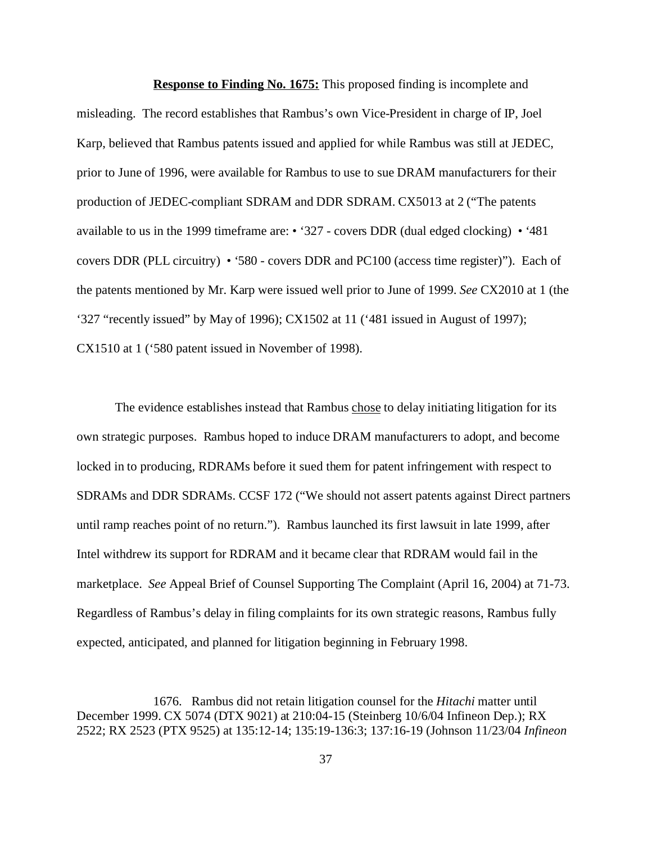**Response to Finding No. 1675:** This proposed finding is incomplete and misleading. The record establishes that Rambus's own Vice-President in charge of IP, Joel Karp, believed that Rambus patents issued and applied for while Rambus was still at JEDEC, prior to June of 1996, were available for Rambus to use to sue DRAM manufacturers for their production of JEDEC-compliant SDRAM and DDR SDRAM. CX5013 at 2 ("The patents available to us in the 1999 timeframe are: • '327 - covers DDR (dual edged clocking) • '481 covers DDR (PLL circuitry) • '580 - covers DDR and PC100 (access time register)"). Each of the patents mentioned by Mr. Karp were issued well prior to June of 1999. *See* CX2010 at 1 (the '327 "recently issued" by May of 1996); CX1502 at 11 ('481 issued in August of 1997); CX1510 at 1 ('580 patent issued in November of 1998).

The evidence establishes instead that Rambus chose to delay initiating litigation for its own strategic purposes. Rambus hoped to induce DRAM manufacturers to adopt, and become locked in to producing, RDRAMs before it sued them for patent infringement with respect to SDRAMs and DDR SDRAMs. CCSF 172 ("We should not assert patents against Direct partners until ramp reaches point of no return."). Rambus launched its first lawsuit in late 1999, after Intel withdrew its support for RDRAM and it became clear that RDRAM would fail in the marketplace. *See* Appeal Brief of Counsel Supporting The Complaint (April 16, 2004) at 71-73. Regardless of Rambus's delay in filing complaints for its own strategic reasons, Rambus fully expected, anticipated, and planned for litigation beginning in February 1998.

1676. Rambus did not retain litigation counsel for the *Hitachi* matter until December 1999. CX 5074 (DTX 9021) at 210:04-15 (Steinberg 10/6/04 Infineon Dep.); RX 2522; RX 2523 (PTX 9525) at 135:12-14; 135:19-136:3; 137:16-19 (Johnson 11/23/04 *Infineon*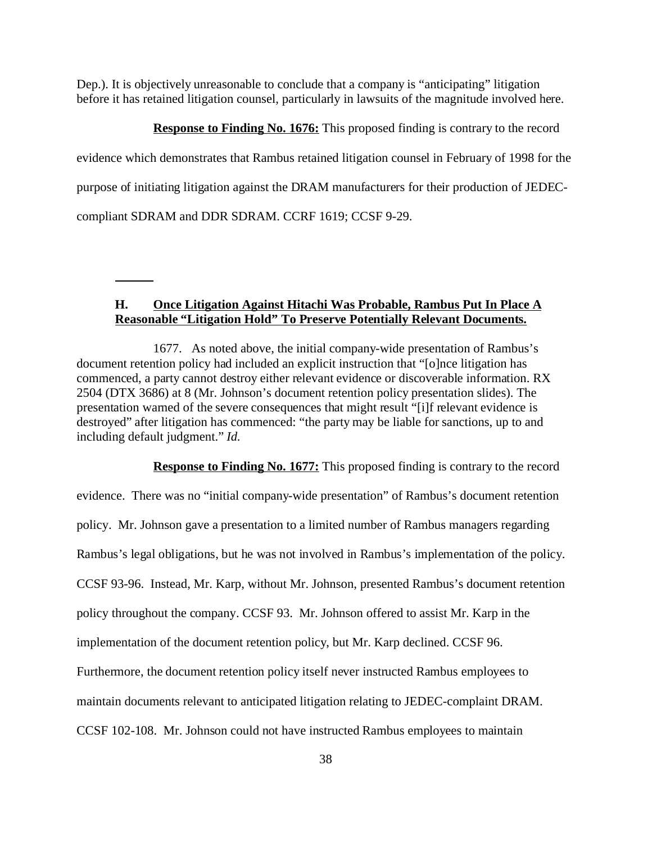Dep.). It is objectively unreasonable to conclude that a company is "anticipating" litigation before it has retained litigation counsel, particularly in lawsuits of the magnitude involved here.

**Response to Finding No. 1676:** This proposed finding is contrary to the record

evidence which demonstrates that Rambus retained litigation counsel in February of 1998 for the purpose of initiating litigation against the DRAM manufacturers for their production of JEDECcompliant SDRAM and DDR SDRAM. CCRF 1619; CCSF 9-29.

## **H. Once Litigation Against Hitachi Was Probable, Rambus Put In Place A Reasonable "Litigation Hold" To Preserve Potentially Relevant Documents.**

1677. As noted above, the initial company-wide presentation of Rambus's document retention policy had included an explicit instruction that "[o]nce litigation has commenced, a party cannot destroy either relevant evidence or discoverable information. RX 2504 (DTX 3686) at 8 (Mr. Johnson's document retention policy presentation slides). The presentation warned of the severe consequences that might result "[i]f relevant evidence is destroyed" after litigation has commenced: "the party may be liable for sanctions, up to and including default judgment." *Id.*

**Response to Finding No. 1677:** This proposed finding is contrary to the record evidence. There was no "initial company-wide presentation" of Rambus's document retention policy. Mr. Johnson gave a presentation to a limited number of Rambus managers regarding Rambus's legal obligations, but he was not involved in Rambus's implementation of the policy. CCSF 93-96. Instead, Mr. Karp, without Mr. Johnson, presented Rambus's document retention policy throughout the company. CCSF 93. Mr. Johnson offered to assist Mr. Karp in the implementation of the document retention policy, but Mr. Karp declined. CCSF 96. Furthermore, the document retention policy itself never instructed Rambus employees to maintain documents relevant to anticipated litigation relating to JEDEC-complaint DRAM. CCSF 102-108. Mr. Johnson could not have instructed Rambus employees to maintain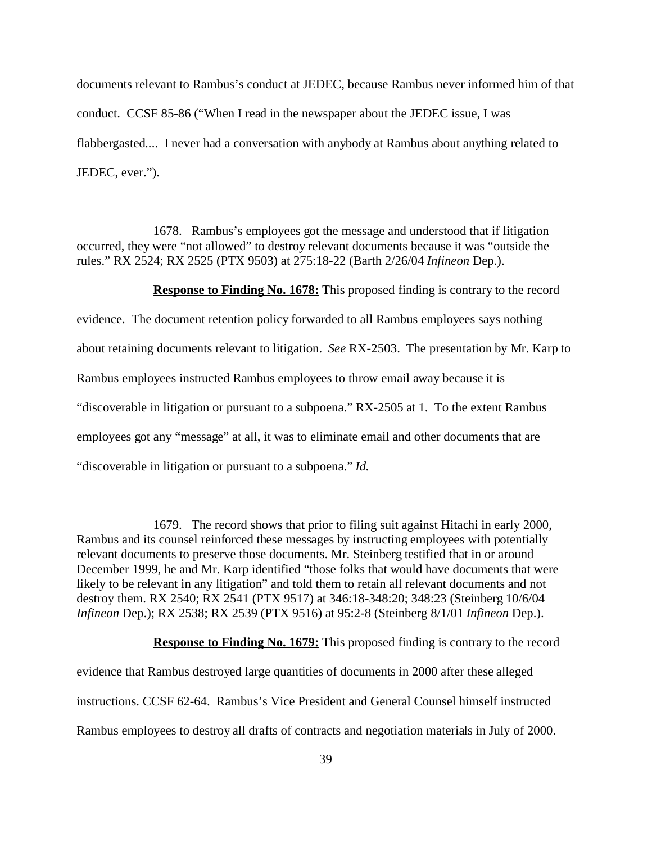documents relevant to Rambus's conduct at JEDEC, because Rambus never informed him of that conduct. CCSF 85-86 ("When I read in the newspaper about the JEDEC issue, I was flabbergasted.... I never had a conversation with anybody at Rambus about anything related to JEDEC, ever.").

1678. Rambus's employees got the message and understood that if litigation occurred, they were "not allowed" to destroy relevant documents because it was "outside the rules." RX 2524; RX 2525 (PTX 9503) at 275:18-22 (Barth 2/26/04 *Infineon* Dep.).

**Response to Finding No. 1678:** This proposed finding is contrary to the record evidence. The document retention policy forwarded to all Rambus employees says nothing about retaining documents relevant to litigation. *See* RX-2503. The presentation by Mr. Karp to Rambus employees instructed Rambus employees to throw email away because it is "discoverable in litigation or pursuant to a subpoena." RX-2505 at 1. To the extent Rambus employees got any "message" at all, it was to eliminate email and other documents that are "discoverable in litigation or pursuant to a subpoena." *Id.*

1679. The record shows that prior to filing suit against Hitachi in early 2000, Rambus and its counsel reinforced these messages by instructing employees with potentially relevant documents to preserve those documents. Mr. Steinberg testified that in or around December 1999, he and Mr. Karp identified "those folks that would have documents that were likely to be relevant in any litigation" and told them to retain all relevant documents and not destroy them. RX 2540; RX 2541 (PTX 9517) at 346:18-348:20; 348:23 (Steinberg 10/6/04 *Infineon* Dep.); RX 2538; RX 2539 (PTX 9516) at 95:2-8 (Steinberg 8/1/01 *Infineon* Dep.).

**Response to Finding No. 1679:** This proposed finding is contrary to the record evidence that Rambus destroyed large quantities of documents in 2000 after these alleged instructions. CCSF 62-64. Rambus's Vice President and General Counsel himself instructed Rambus employees to destroy all drafts of contracts and negotiation materials in July of 2000.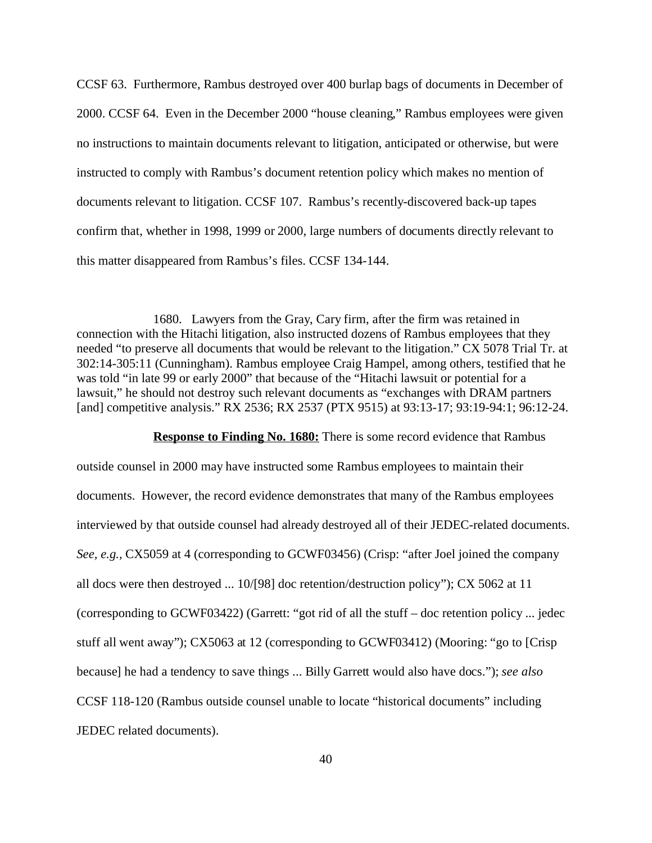CCSF 63. Furthermore, Rambus destroyed over 400 burlap bags of documents in December of 2000. CCSF 64. Even in the December 2000 "house cleaning," Rambus employees were given no instructions to maintain documents relevant to litigation, anticipated or otherwise, but were instructed to comply with Rambus's document retention policy which makes no mention of documents relevant to litigation. CCSF 107. Rambus's recently-discovered back-up tapes confirm that, whether in 1998, 1999 or 2000, large numbers of documents directly relevant to this matter disappeared from Rambus's files. CCSF 134-144.

1680. Lawyers from the Gray, Cary firm, after the firm was retained in connection with the Hitachi litigation, also instructed dozens of Rambus employees that they needed "to preserve all documents that would be relevant to the litigation." CX 5078 Trial Tr. at 302:14-305:11 (Cunningham). Rambus employee Craig Hampel, among others, testified that he was told "in late 99 or early 2000" that because of the "Hitachi lawsuit or potential for a lawsuit," he should not destroy such relevant documents as "exchanges with DRAM partners [and] competitive analysis." RX 2536; RX 2537 (PTX 9515) at 93:13-17; 93:19-94:1; 96:12-24.

#### **Response to Finding No. 1680:** There is some record evidence that Rambus

outside counsel in 2000 may have instructed some Rambus employees to maintain their documents. However, the record evidence demonstrates that many of the Rambus employees interviewed by that outside counsel had already destroyed all of their JEDEC-related documents. *See, e.g.,* CX5059 at 4 (corresponding to GCWF03456) (Crisp: "after Joel joined the company all docs were then destroyed ... 10/[98] doc retention/destruction policy"); CX 5062 at 11 (corresponding to GCWF03422) (Garrett: "got rid of all the stuff – doc retention policy ... jedec stuff all went away"); CX5063 at 12 (corresponding to GCWF03412) (Mooring: "go to [Crisp because] he had a tendency to save things ... Billy Garrett would also have docs."); *see also* CCSF 118-120 (Rambus outside counsel unable to locate "historical documents" including JEDEC related documents).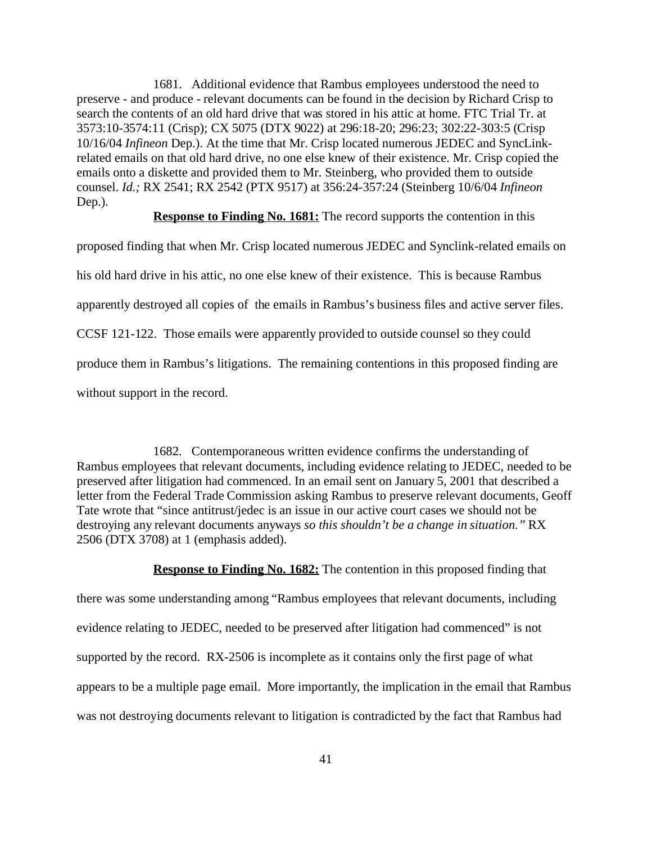1681. Additional evidence that Rambus employees understood the need to preserve - and produce - relevant documents can be found in the decision by Richard Crisp to search the contents of an old hard drive that was stored in his attic at home. FTC Trial Tr. at 3573:10-3574:11 (Crisp); CX 5075 (DTX 9022) at 296:18-20; 296:23; 302:22-303:5 (Crisp 10/16/04 *Infineon* Dep.). At the time that Mr. Crisp located numerous JEDEC and SyncLinkrelated emails on that old hard drive, no one else knew of their existence. Mr. Crisp copied the emails onto a diskette and provided them to Mr. Steinberg, who provided them to outside counsel. *Id.;* RX 2541; RX 2542 (PTX 9517) at 356:24-357:24 (Steinberg 10/6/04 *Infineon* Dep.).

#### **Response to Finding No. 1681:** The record supports the contention in this

proposed finding that when Mr. Crisp located numerous JEDEC and Synclink-related emails on his old hard drive in his attic, no one else knew of their existence. This is because Rambus apparently destroyed all copies of the emails in Rambus's business files and active server files. CCSF 121-122. Those emails were apparently provided to outside counsel so they could produce them in Rambus's litigations. The remaining contentions in this proposed finding are without support in the record.

1682. Contemporaneous written evidence confirms the understanding of Rambus employees that relevant documents, including evidence relating to JEDEC, needed to be preserved after litigation had commenced. In an email sent on January 5, 2001 that described a letter from the Federal Trade Commission asking Rambus to preserve relevant documents, Geoff Tate wrote that "since antitrust/jedec is an issue in our active court cases we should not be destroying any relevant documents anyways *so this shouldn't be a change in situation."* RX 2506 (DTX 3708) at 1 (emphasis added).

#### **Response to Finding No. 1682:** The contention in this proposed finding that

there was some understanding among "Rambus employees that relevant documents, including evidence relating to JEDEC, needed to be preserved after litigation had commenced" is not supported by the record. RX-2506 is incomplete as it contains only the first page of what appears to be a multiple page email. More importantly, the implication in the email that Rambus was not destroying documents relevant to litigation is contradicted by the fact that Rambus had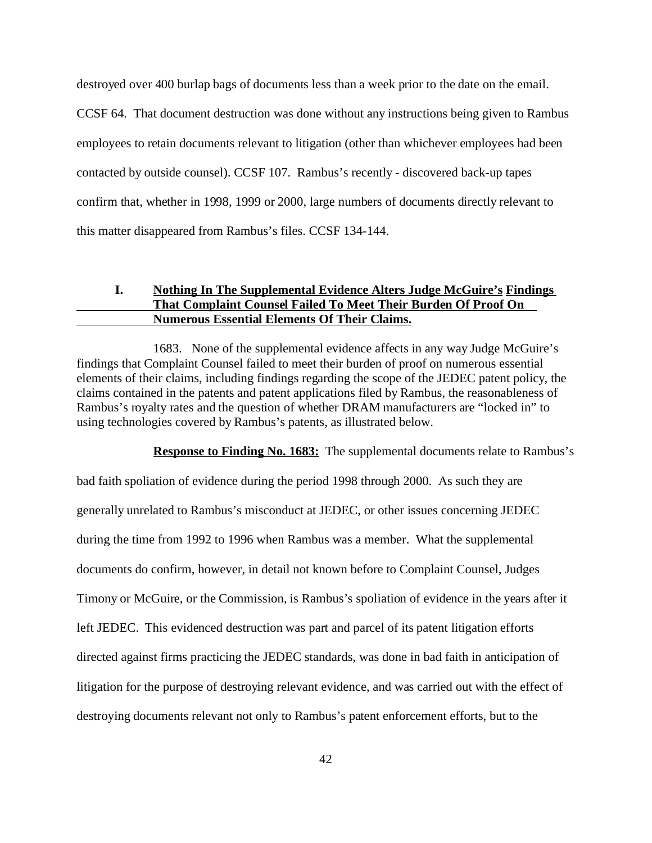destroyed over 400 burlap bags of documents less than a week prior to the date on the email.

CCSF 64. That document destruction was done without any instructions being given to Rambus employees to retain documents relevant to litigation (other than whichever employees had been contacted by outside counsel). CCSF 107. Rambus's recently - discovered back-up tapes confirm that, whether in 1998, 1999 or 2000, large numbers of documents directly relevant to this matter disappeared from Rambus's files. CCSF 134-144.

# **I. Nothing In The Supplemental Evidence Alters Judge McGuire's Findings That Complaint Counsel Failed To Meet Their Burden Of Proof On Numerous Essential Elements Of Their Claims.**

1683. None of the supplemental evidence affects in any way Judge McGuire's findings that Complaint Counsel failed to meet their burden of proof on numerous essential elements of their claims, including findings regarding the scope of the JEDEC patent policy, the claims contained in the patents and patent applications filed by Rambus, the reasonableness of Rambus's royalty rates and the question of whether DRAM manufacturers are "locked in" to using technologies covered by Rambus's patents, as illustrated below.

**Response to Finding No. 1683:** The supplemental documents relate to Rambus's bad faith spoliation of evidence during the period 1998 through 2000. As such they are generally unrelated to Rambus's misconduct at JEDEC, or other issues concerning JEDEC during the time from 1992 to 1996 when Rambus was a member. What the supplemental documents do confirm, however, in detail not known before to Complaint Counsel, Judges Timony or McGuire, or the Commission, is Rambus's spoliation of evidence in the years after it left JEDEC. This evidenced destruction was part and parcel of its patent litigation efforts directed against firms practicing the JEDEC standards, was done in bad faith in anticipation of litigation for the purpose of destroying relevant evidence, and was carried out with the effect of destroying documents relevant not only to Rambus's patent enforcement efforts, but to the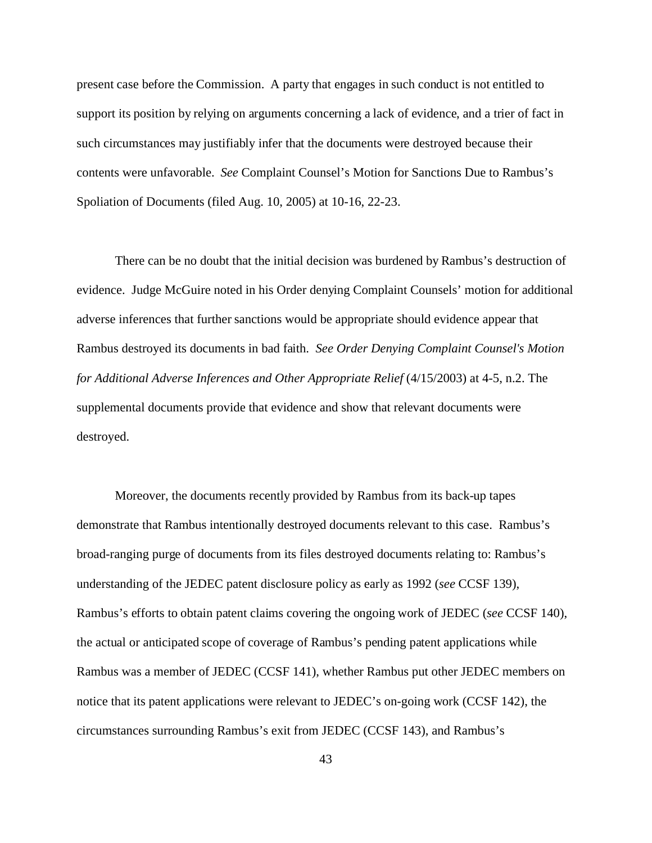present case before the Commission. A party that engages in such conduct is not entitled to support its position by relying on arguments concerning a lack of evidence, and a trier of fact in such circumstances may justifiably infer that the documents were destroyed because their contents were unfavorable. *See* Complaint Counsel's Motion for Sanctions Due to Rambus's Spoliation of Documents (filed Aug. 10, 2005) at 10-16, 22-23.

There can be no doubt that the initial decision was burdened by Rambus's destruction of evidence. Judge McGuire noted in his Order denying Complaint Counsels' motion for additional adverse inferences that further sanctions would be appropriate should evidence appear that Rambus destroyed its documents in bad faith. *See Order Denying Complaint Counsel's Motion for Additional Adverse Inferences and Other Appropriate Relief* (4/15/2003) at 4-5, n.2. The supplemental documents provide that evidence and show that relevant documents were destroyed.

Moreover, the documents recently provided by Rambus from its back-up tapes demonstrate that Rambus intentionally destroyed documents relevant to this case. Rambus's broad-ranging purge of documents from its files destroyed documents relating to: Rambus's understanding of the JEDEC patent disclosure policy as early as 1992 (*see* CCSF 139), Rambus's efforts to obtain patent claims covering the ongoing work of JEDEC (*see* CCSF 140), the actual or anticipated scope of coverage of Rambus's pending patent applications while Rambus was a member of JEDEC (CCSF 141), whether Rambus put other JEDEC members on notice that its patent applications were relevant to JEDEC's on-going work (CCSF 142), the circumstances surrounding Rambus's exit from JEDEC (CCSF 143), and Rambus's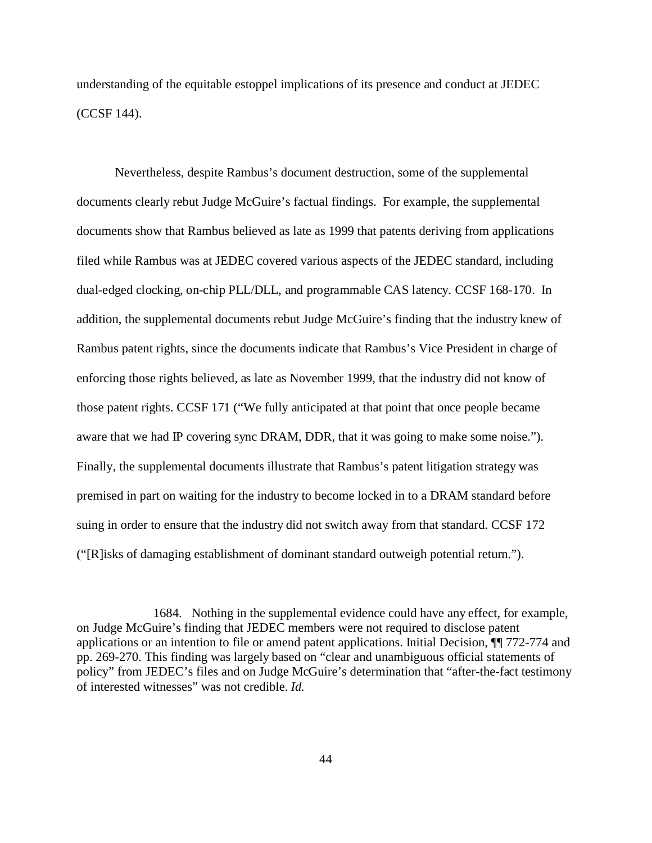understanding of the equitable estoppel implications of its presence and conduct at JEDEC (CCSF 144).

Nevertheless, despite Rambus's document destruction, some of the supplemental documents clearly rebut Judge McGuire's factual findings. For example, the supplemental documents show that Rambus believed as late as 1999 that patents deriving from applications filed while Rambus was at JEDEC covered various aspects of the JEDEC standard, including dual-edged clocking, on-chip PLL/DLL, and programmable CAS latency. CCSF 168-170. In addition, the supplemental documents rebut Judge McGuire's finding that the industry knew of Rambus patent rights, since the documents indicate that Rambus's Vice President in charge of enforcing those rights believed, as late as November 1999, that the industry did not know of those patent rights. CCSF 171 ("We fully anticipated at that point that once people became aware that we had IP covering sync DRAM, DDR, that it was going to make some noise."). Finally, the supplemental documents illustrate that Rambus's patent litigation strategy was premised in part on waiting for the industry to become locked in to a DRAM standard before suing in order to ensure that the industry did not switch away from that standard. CCSF 172 ("[R]isks of damaging establishment of dominant standard outweigh potential return.").

1684. Nothing in the supplemental evidence could have any effect, for example, on Judge McGuire's finding that JEDEC members were not required to disclose patent applications or an intention to file or amend patent applications. Initial Decision, ¶¶ 772-774 and pp. 269-270. This finding was largely based on "clear and unambiguous official statements of policy" from JEDEC's files and on Judge McGuire's determination that "after-the-fact testimony of interested witnesses" was not credible. *Id.*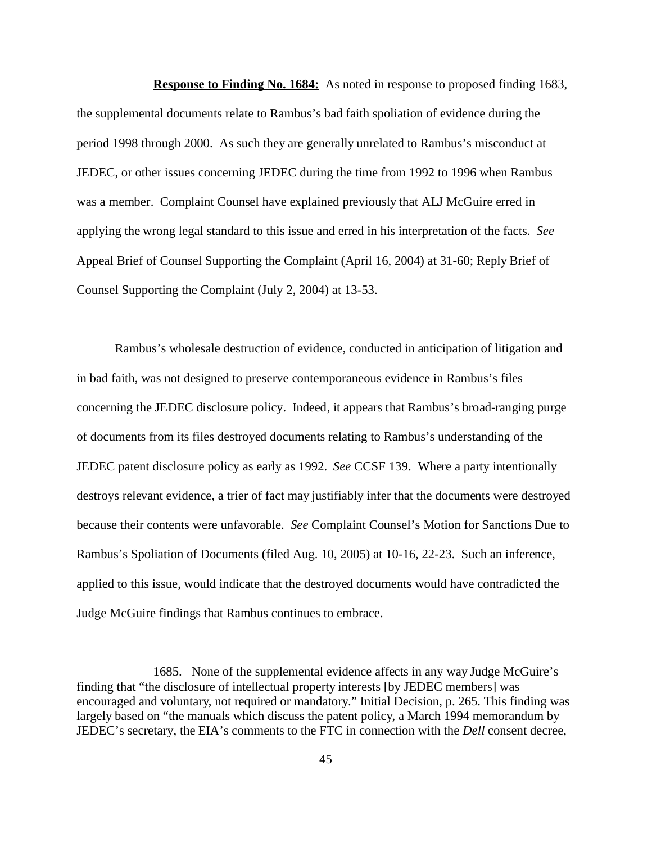**Response to Finding No. 1684:** As noted in response to proposed finding 1683, the supplemental documents relate to Rambus's bad faith spoliation of evidence during the period 1998 through 2000. As such they are generally unrelated to Rambus's misconduct at JEDEC, or other issues concerning JEDEC during the time from 1992 to 1996 when Rambus was a member. Complaint Counsel have explained previously that ALJ McGuire erred in applying the wrong legal standard to this issue and erred in his interpretation of the facts. *See* Appeal Brief of Counsel Supporting the Complaint (April 16, 2004) at 31-60; Reply Brief of Counsel Supporting the Complaint (July 2, 2004) at 13-53.

Rambus's wholesale destruction of evidence, conducted in anticipation of litigation and in bad faith, was not designed to preserve contemporaneous evidence in Rambus's files concerning the JEDEC disclosure policy. Indeed, it appears that Rambus's broad-ranging purge of documents from its files destroyed documents relating to Rambus's understanding of the JEDEC patent disclosure policy as early as 1992. *See* CCSF 139. Where a party intentionally destroys relevant evidence, a trier of fact may justifiably infer that the documents were destroyed because their contents were unfavorable. *See* Complaint Counsel's Motion for Sanctions Due to Rambus's Spoliation of Documents (filed Aug. 10, 2005) at 10-16, 22-23. Such an inference, applied to this issue, would indicate that the destroyed documents would have contradicted the Judge McGuire findings that Rambus continues to embrace.

<sup>1685.</sup> None of the supplemental evidence affects in any way Judge McGuire's finding that "the disclosure of intellectual property interests [by JEDEC members] was encouraged and voluntary, not required or mandatory." Initial Decision, p. 265. This finding was largely based on "the manuals which discuss the patent policy, a March 1994 memorandum by JEDEC's secretary, the EIA's comments to the FTC in connection with the *Dell* consent decree,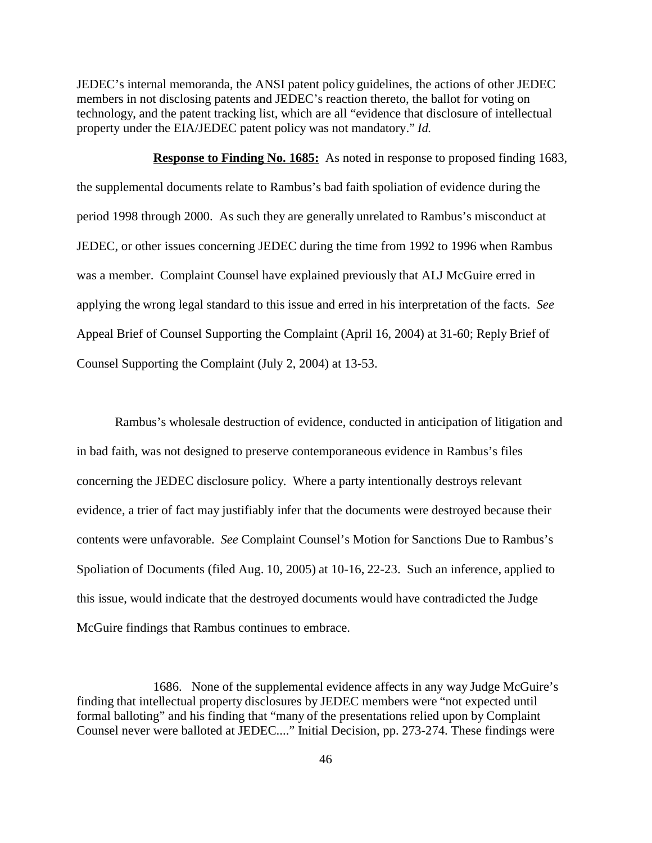JEDEC's internal memoranda, the ANSI patent policy guidelines, the actions of other JEDEC members in not disclosing patents and JEDEC's reaction thereto, the ballot for voting on technology, and the patent tracking list, which are all "evidence that disclosure of intellectual property under the EIA/JEDEC patent policy was not mandatory." *Id.*

**Response to Finding No. 1685:** As noted in response to proposed finding 1683, the supplemental documents relate to Rambus's bad faith spoliation of evidence during the period 1998 through 2000. As such they are generally unrelated to Rambus's misconduct at JEDEC, or other issues concerning JEDEC during the time from 1992 to 1996 when Rambus was a member. Complaint Counsel have explained previously that ALJ McGuire erred in applying the wrong legal standard to this issue and erred in his interpretation of the facts. *See* Appeal Brief of Counsel Supporting the Complaint (April 16, 2004) at 31-60; Reply Brief of Counsel Supporting the Complaint (July 2, 2004) at 13-53.

Rambus's wholesale destruction of evidence, conducted in anticipation of litigation and in bad faith, was not designed to preserve contemporaneous evidence in Rambus's files concerning the JEDEC disclosure policy. Where a party intentionally destroys relevant evidence, a trier of fact may justifiably infer that the documents were destroyed because their contents were unfavorable. *See* Complaint Counsel's Motion for Sanctions Due to Rambus's Spoliation of Documents (filed Aug. 10, 2005) at 10-16, 22-23. Such an inference, applied to this issue, would indicate that the destroyed documents would have contradicted the Judge McGuire findings that Rambus continues to embrace.

<sup>1686.</sup> None of the supplemental evidence affects in any way Judge McGuire's finding that intellectual property disclosures by JEDEC members were "not expected until formal balloting" and his finding that "many of the presentations relied upon by Complaint Counsel never were balloted at JEDEC...." Initial Decision, pp. 273-274. These findings were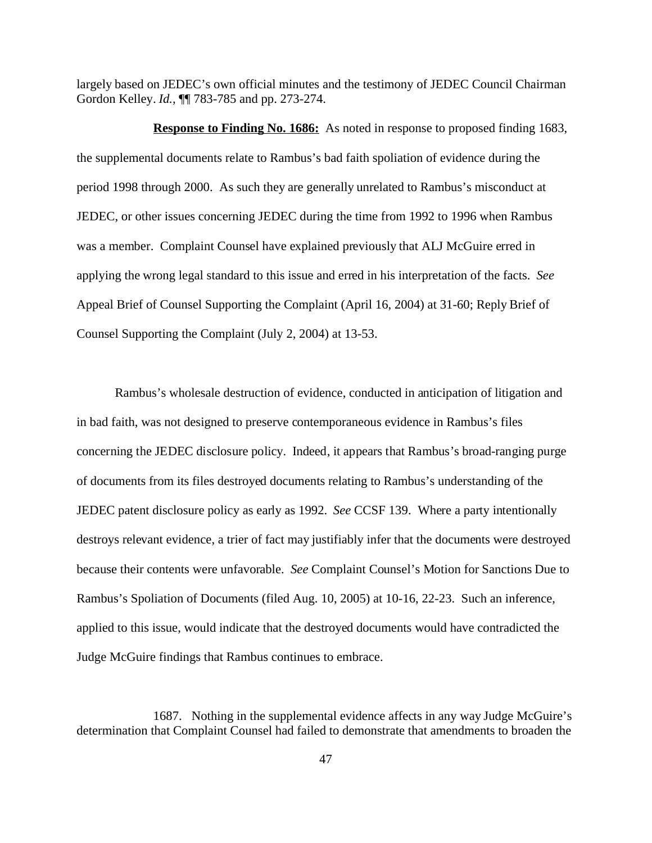largely based on JEDEC's own official minutes and the testimony of JEDEC Council Chairman Gordon Kelley. *Id.,* ¶¶ 783-785 and pp. 273-274.

**Response to Finding No. 1686:** As noted in response to proposed finding 1683, the supplemental documents relate to Rambus's bad faith spoliation of evidence during the period 1998 through 2000. As such they are generally unrelated to Rambus's misconduct at JEDEC, or other issues concerning JEDEC during the time from 1992 to 1996 when Rambus was a member. Complaint Counsel have explained previously that ALJ McGuire erred in applying the wrong legal standard to this issue and erred in his interpretation of the facts. *See* Appeal Brief of Counsel Supporting the Complaint (April 16, 2004) at 31-60; Reply Brief of Counsel Supporting the Complaint (July 2, 2004) at 13-53.

Rambus's wholesale destruction of evidence, conducted in anticipation of litigation and in bad faith, was not designed to preserve contemporaneous evidence in Rambus's files concerning the JEDEC disclosure policy. Indeed, it appears that Rambus's broad-ranging purge of documents from its files destroyed documents relating to Rambus's understanding of the JEDEC patent disclosure policy as early as 1992. *See* CCSF 139. Where a party intentionally destroys relevant evidence, a trier of fact may justifiably infer that the documents were destroyed because their contents were unfavorable. *See* Complaint Counsel's Motion for Sanctions Due to Rambus's Spoliation of Documents (filed Aug. 10, 2005) at 10-16, 22-23. Such an inference, applied to this issue, would indicate that the destroyed documents would have contradicted the Judge McGuire findings that Rambus continues to embrace.

<sup>1687.</sup> Nothing in the supplemental evidence affects in any way Judge McGuire's determination that Complaint Counsel had failed to demonstrate that amendments to broaden the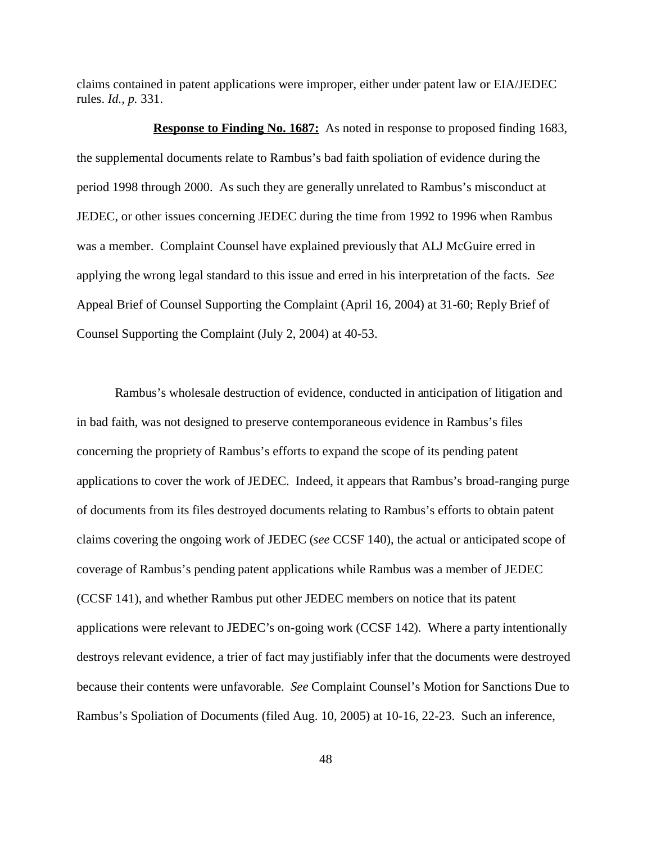claims contained in patent applications were improper, either under patent law or EIA/JEDEC rules. *Id., p.* 331.

**Response to Finding No. 1687:** As noted in response to proposed finding 1683, the supplemental documents relate to Rambus's bad faith spoliation of evidence during the period 1998 through 2000. As such they are generally unrelated to Rambus's misconduct at JEDEC, or other issues concerning JEDEC during the time from 1992 to 1996 when Rambus was a member. Complaint Counsel have explained previously that ALJ McGuire erred in applying the wrong legal standard to this issue and erred in his interpretation of the facts. *See* Appeal Brief of Counsel Supporting the Complaint (April 16, 2004) at 31-60; Reply Brief of Counsel Supporting the Complaint (July 2, 2004) at 40-53.

Rambus's wholesale destruction of evidence, conducted in anticipation of litigation and in bad faith, was not designed to preserve contemporaneous evidence in Rambus's files concerning the propriety of Rambus's efforts to expand the scope of its pending patent applications to cover the work of JEDEC. Indeed, it appears that Rambus's broad-ranging purge of documents from its files destroyed documents relating to Rambus's efforts to obtain patent claims covering the ongoing work of JEDEC (*see* CCSF 140), the actual or anticipated scope of coverage of Rambus's pending patent applications while Rambus was a member of JEDEC (CCSF 141), and whether Rambus put other JEDEC members on notice that its patent applications were relevant to JEDEC's on-going work (CCSF 142). Where a party intentionally destroys relevant evidence, a trier of fact may justifiably infer that the documents were destroyed because their contents were unfavorable. *See* Complaint Counsel's Motion for Sanctions Due to Rambus's Spoliation of Documents (filed Aug. 10, 2005) at 10-16, 22-23. Such an inference,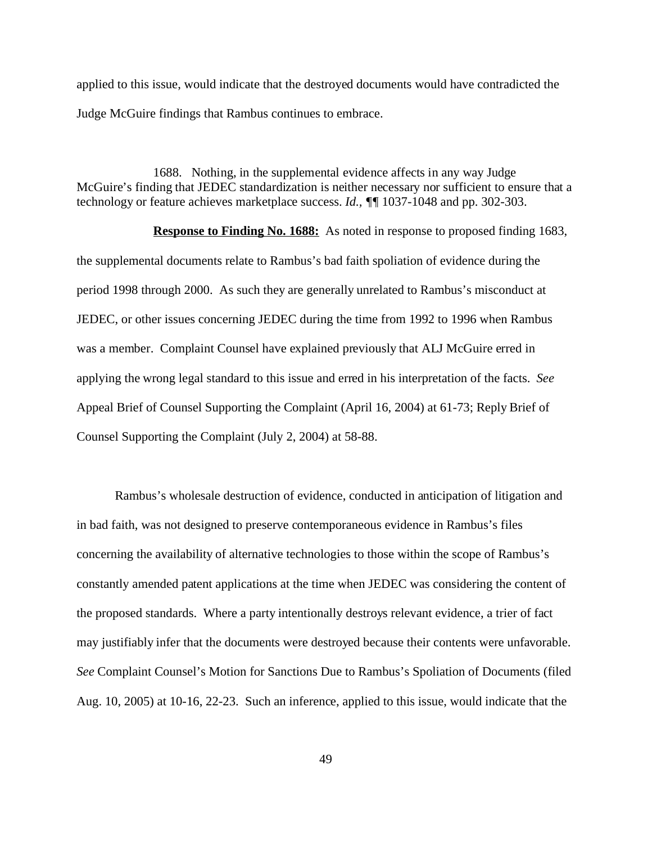applied to this issue, would indicate that the destroyed documents would have contradicted the Judge McGuire findings that Rambus continues to embrace.

1688. Nothing, in the supplemental evidence affects in any way Judge McGuire's finding that JEDEC standardization is neither necessary nor sufficient to ensure that a technology or feature achieves marketplace success. *Id., ¶¶* 1037-1048 and pp. 302-303.

**Response to Finding No. 1688:** As noted in response to proposed finding 1683, the supplemental documents relate to Rambus's bad faith spoliation of evidence during the period 1998 through 2000. As such they are generally unrelated to Rambus's misconduct at JEDEC, or other issues concerning JEDEC during the time from 1992 to 1996 when Rambus was a member. Complaint Counsel have explained previously that ALJ McGuire erred in applying the wrong legal standard to this issue and erred in his interpretation of the facts. *See* Appeal Brief of Counsel Supporting the Complaint (April 16, 2004) at 61-73; Reply Brief of Counsel Supporting the Complaint (July 2, 2004) at 58-88.

Rambus's wholesale destruction of evidence, conducted in anticipation of litigation and in bad faith, was not designed to preserve contemporaneous evidence in Rambus's files concerning the availability of alternative technologies to those within the scope of Rambus's constantly amended patent applications at the time when JEDEC was considering the content of the proposed standards. Where a party intentionally destroys relevant evidence, a trier of fact may justifiably infer that the documents were destroyed because their contents were unfavorable. *See* Complaint Counsel's Motion for Sanctions Due to Rambus's Spoliation of Documents (filed Aug. 10, 2005) at 10-16, 22-23. Such an inference, applied to this issue, would indicate that the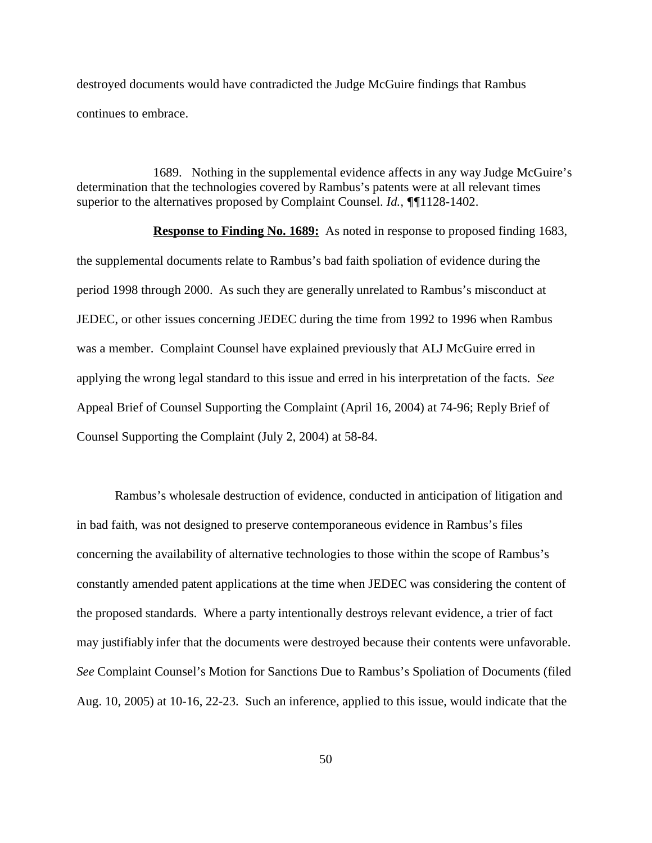destroyed documents would have contradicted the Judge McGuire findings that Rambus continues to embrace.

1689. Nothing in the supplemental evidence affects in any way Judge McGuire's determination that the technologies covered by Rambus's patents were at all relevant times superior to the alternatives proposed by Complaint Counsel. *Id., ¶¶*1128-1402.

**Response to Finding No. 1689:** As noted in response to proposed finding 1683, the supplemental documents relate to Rambus's bad faith spoliation of evidence during the period 1998 through 2000. As such they are generally unrelated to Rambus's misconduct at JEDEC, or other issues concerning JEDEC during the time from 1992 to 1996 when Rambus was a member. Complaint Counsel have explained previously that ALJ McGuire erred in applying the wrong legal standard to this issue and erred in his interpretation of the facts. *See* Appeal Brief of Counsel Supporting the Complaint (April 16, 2004) at 74-96; Reply Brief of Counsel Supporting the Complaint (July 2, 2004) at 58-84.

Rambus's wholesale destruction of evidence, conducted in anticipation of litigation and in bad faith, was not designed to preserve contemporaneous evidence in Rambus's files concerning the availability of alternative technologies to those within the scope of Rambus's constantly amended patent applications at the time when JEDEC was considering the content of the proposed standards. Where a party intentionally destroys relevant evidence, a trier of fact may justifiably infer that the documents were destroyed because their contents were unfavorable. *See* Complaint Counsel's Motion for Sanctions Due to Rambus's Spoliation of Documents (filed Aug. 10, 2005) at 10-16, 22-23. Such an inference, applied to this issue, would indicate that the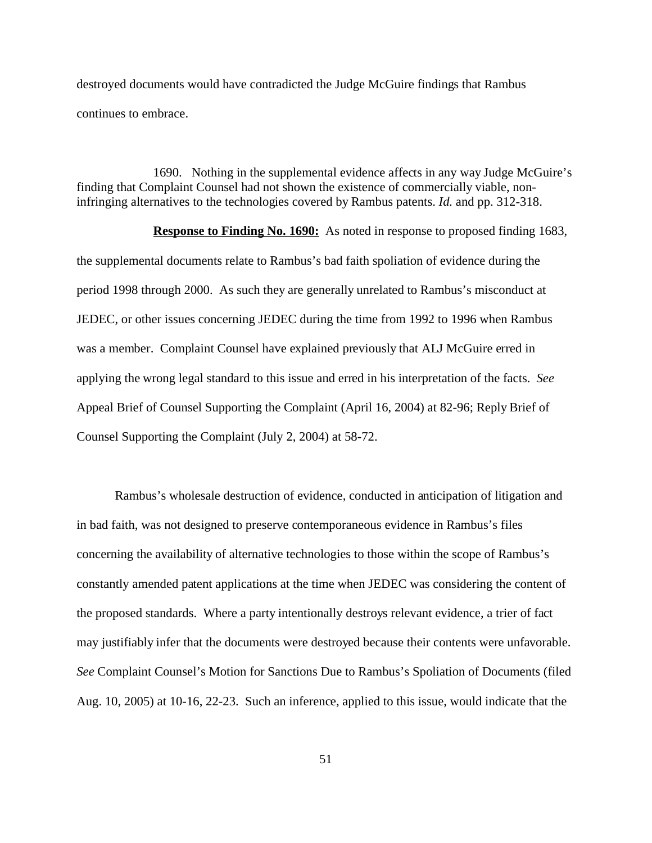destroyed documents would have contradicted the Judge McGuire findings that Rambus continues to embrace.

1690. Nothing in the supplemental evidence affects in any way Judge McGuire's finding that Complaint Counsel had not shown the existence of commercially viable, noninfringing alternatives to the technologies covered by Rambus patents. *Id.* and pp. 312-318.

**Response to Finding No. 1690:** As noted in response to proposed finding 1683, the supplemental documents relate to Rambus's bad faith spoliation of evidence during the period 1998 through 2000. As such they are generally unrelated to Rambus's misconduct at JEDEC, or other issues concerning JEDEC during the time from 1992 to 1996 when Rambus was a member. Complaint Counsel have explained previously that ALJ McGuire erred in applying the wrong legal standard to this issue and erred in his interpretation of the facts. *See* Appeal Brief of Counsel Supporting the Complaint (April 16, 2004) at 82-96; Reply Brief of Counsel Supporting the Complaint (July 2, 2004) at 58-72.

Rambus's wholesale destruction of evidence, conducted in anticipation of litigation and in bad faith, was not designed to preserve contemporaneous evidence in Rambus's files concerning the availability of alternative technologies to those within the scope of Rambus's constantly amended patent applications at the time when JEDEC was considering the content of the proposed standards. Where a party intentionally destroys relevant evidence, a trier of fact may justifiably infer that the documents were destroyed because their contents were unfavorable. *See* Complaint Counsel's Motion for Sanctions Due to Rambus's Spoliation of Documents (filed Aug. 10, 2005) at 10-16, 22-23. Such an inference, applied to this issue, would indicate that the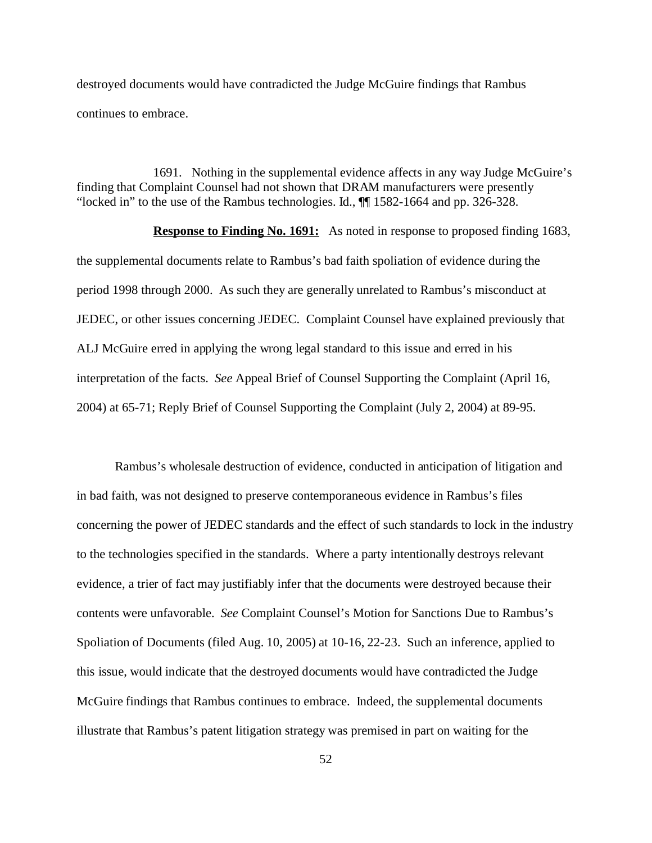destroyed documents would have contradicted the Judge McGuire findings that Rambus continues to embrace.

1691. Nothing in the supplemental evidence affects in any way Judge McGuire's finding that Complaint Counsel had not shown that DRAM manufacturers were presently "locked in" to the use of the Rambus technologies. Id., ¶¶ 1582-1664 and pp. 326-328.

**Response to Finding No. 1691:** As noted in response to proposed finding 1683, the supplemental documents relate to Rambus's bad faith spoliation of evidence during the period 1998 through 2000. As such they are generally unrelated to Rambus's misconduct at JEDEC, or other issues concerning JEDEC. Complaint Counsel have explained previously that ALJ McGuire erred in applying the wrong legal standard to this issue and erred in his interpretation of the facts. *See* Appeal Brief of Counsel Supporting the Complaint (April 16, 2004) at 65-71; Reply Brief of Counsel Supporting the Complaint (July 2, 2004) at 89-95.

Rambus's wholesale destruction of evidence, conducted in anticipation of litigation and in bad faith, was not designed to preserve contemporaneous evidence in Rambus's files concerning the power of JEDEC standards and the effect of such standards to lock in the industry to the technologies specified in the standards. Where a party intentionally destroys relevant evidence, a trier of fact may justifiably infer that the documents were destroyed because their contents were unfavorable. *See* Complaint Counsel's Motion for Sanctions Due to Rambus's Spoliation of Documents (filed Aug. 10, 2005) at 10-16, 22-23. Such an inference, applied to this issue, would indicate that the destroyed documents would have contradicted the Judge McGuire findings that Rambus continues to embrace. Indeed, the supplemental documents illustrate that Rambus's patent litigation strategy was premised in part on waiting for the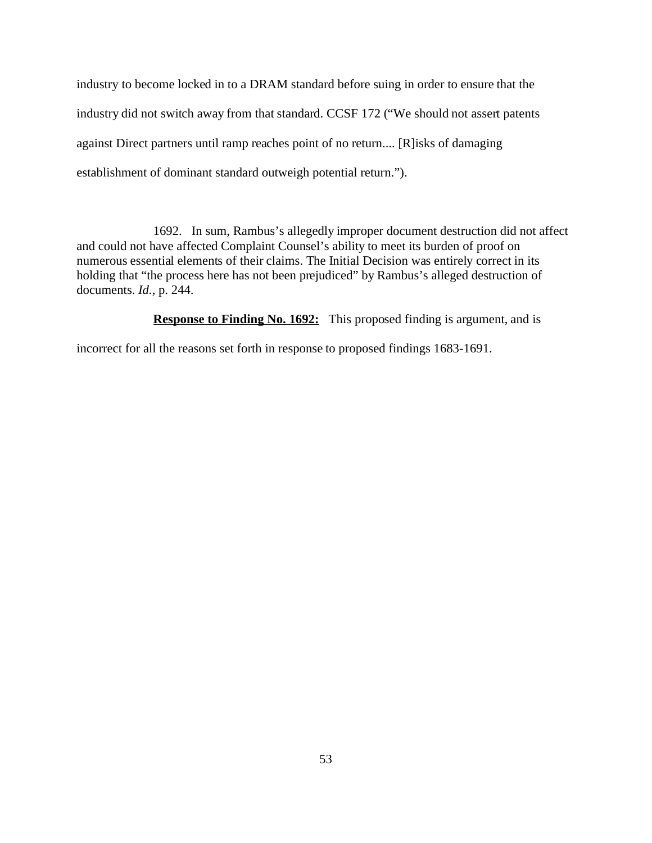industry to become locked in to a DRAM standard before suing in order to ensure that the industry did not switch away from that standard. CCSF 172 ("We should not assert patents against Direct partners until ramp reaches point of no return.... [R]isks of damaging establishment of dominant standard outweigh potential return.").

1692. In sum, Rambus's allegedly improper document destruction did not affect and could not have affected Complaint Counsel's ability to meet its burden of proof on numerous essential elements of their claims. The Initial Decision was entirely correct in its holding that "the process here has not been prejudiced" by Rambus's alleged destruction of documents. *Id.,* p. 244.

**Response to Finding No. 1692:** This proposed finding is argument, and is

incorrect for all the reasons set forth in response to proposed findings 1683-1691.